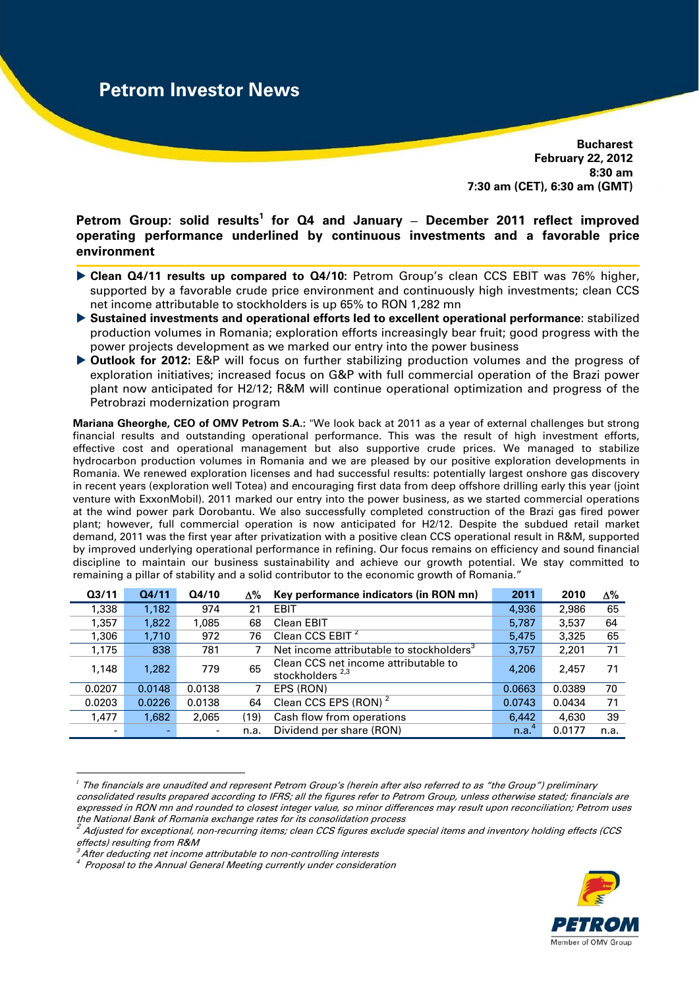**Bucharest February 22, 2012 8:30 am 7:30 am (CET), 6:30 am (GMT)** 

Petrom Group: solid results<sup>1</sup> for Q4 and January - December 2011 reflect improved **operating performance underlined by continuous investments and a favorable price environment** 

- **Clean Q4/11 results up compared to Q4/10:** Petrom Group's clean CCS EBIT was 76% higher, supported by a favorable crude price environment and continuously high investments; clean CCS net income attributable to stockholders is up 65% to RON 1,282 mn
- **Sustained investments and operational efforts led to excellent operational performance**: stabilized production volumes in Romania; exploration efforts increasingly bear fruit; good progress with the power projects development as we marked our entry into the power business
- **Outlook for 2012:** E&P will focus on further stabilizing production volumes and the progress of exploration initiatives; increased focus on G&P with full commercial operation of the Brazi power plant now anticipated for H2/12; R&M will continue operational optimization and progress of the Petrobrazi modernization program

**Mariana Gheorghe, CEO of OMV Petrom S.A.:** "We look back at 2011 as a year of external challenges but strong financial results and outstanding operational performance. This was the result of high investment efforts, effective cost and operational management but also supportive crude prices. We managed to stabilize hydrocarbon production volumes in Romania and we are pleased by our positive exploration developments in Romania. We renewed exploration licenses and had successful results: potentially largest onshore gas discovery in recent years (exploration well Totea) and encouraging first data from deep offshore drilling early this year (joint venture with ExxonMobil). 2011 marked our entry into the power business, as we started commercial operations at the wind power park Dorobantu. We also successfully completed construction of the Brazi gas fired power plant; however, full commercial operation is now anticipated for H2/12. Despite the subdued retail market demand, 2011 was the first year after privatization with a positive clean CCS operational result in R&M, supported by improved underlying operational performance in refining. Our focus remains on efficiency and sound financial discipline to maintain our business sustainability and achieve our growth potential. We stay committed to remaining a pillar of stability and a solid contributor to the economic growth of Romania."

| Q <sub>3/11</sub> | Q4/11  | Q4/10  | Δ%   | Key performance indicators (in RON mn)                              | 2011   | 2010   | Δ%   |
|-------------------|--------|--------|------|---------------------------------------------------------------------|--------|--------|------|
| 1,338             | 1,182  | 974    | 21   | <b>EBIT</b>                                                         | 4,936  | 2,986  | 65   |
| 1,357             | 1,822  | 1,085  | 68   | Clean EBIT                                                          | 5,787  | 3,537  | 64   |
| 1,306             | 1.710  | 972    | 76   | Clean CCS EBIT <sup>2</sup>                                         | 5,475  | 3,325  | 65   |
| 1,175             | 838    | 781    |      | Net income attributable to stockholders <sup>3</sup>                | 3,757  | 2,201  | 71   |
| 1.148             | 1.282  | 779    | 65   | Clean CCS net income attributable to<br>stockholders <sup>2,3</sup> | 4,206  | 2.457  | 71   |
| 0.0207            | 0.0148 | 0.0138 |      | EPS (RON)                                                           | 0.0663 | 0.0389 | 70   |
| 0.0203            | 0.0226 | 0.0138 | 64   | Clean CCS EPS (RON) <sup>2</sup>                                    | 0.0743 | 0.0434 | 71   |
| 1,477             | 1,682  | 2,065  | (19) | Cash flow from operations                                           | 6.442  | 4.630  | 39   |
| $\blacksquare$    |        |        | n.a. | Dividend per share (RON)                                            | n.a.   | 0.0177 | n.a. |

<sup>&</sup>lt;u>.</u> *<sup>1</sup>* The financials are unaudited and represent Petrom Group's (herein after also referred to as "the Group") preliminary consolidated results prepared according to IFRS; all the figures refer to Petrom Group, unless otherwise stated; financials are expressed in RON mn and rounded to closest integer value, so minor differences may result upon reconciliation; Petrom uses the National Bank of Romania exchange rates for its consolidation process



 $^2$  Adjusted for exceptional, non-recurring items; clean CCS figures exclude special items and inventory holding effects (CCS  $\,$ effects) resulting from R&M

<sup>.&</sup>lt;br>After deducting net income attributable to non-controlling interests

<sup>4</sup> Proposal to the Annual General Meeting currently under consideration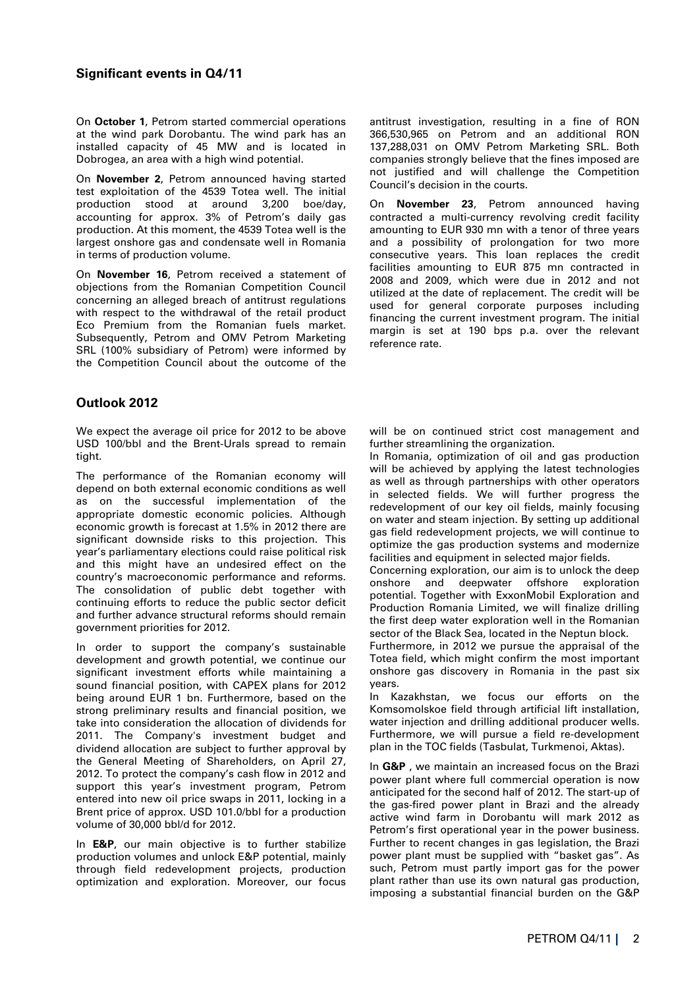On **October 1**, Petrom started commercial operations at the wind park Dorobantu. The wind park has an installed capacity of 45 MW and is located in Dobrogea, an area with a high wind potential.

On **November 2**, Petrom announced having started test exploitation of the 4539 Totea well. The initial production stood at around 3,200 boe/day, accounting for approx. 3% of Petrom's daily gas production. At this moment, the 4539 Totea well is the largest onshore gas and condensate well in Romania in terms of production volume.

On **November 16**, Petrom received a statement of objections from the Romanian Competition Council concerning an alleged breach of antitrust regulations with respect to the withdrawal of the retail product Eco Premium from the Romanian fuels market. Subsequently, Petrom and OMV Petrom Marketing SRL (100% subsidiary of Petrom) were informed by the Competition Council about the outcome of the

# **Outlook 2012**

We expect the average oil price for 2012 to be above USD 100/bbl and the Brent-Urals spread to remain tight.

The performance of the Romanian economy will depend on both external economic conditions as well as on the successful implementation of the appropriate domestic economic policies. Although economic growth is forecast at 1.5% in 2012 there are significant downside risks to this projection. This year's parliamentary elections could raise political risk and this might have an undesired effect on the country's macroeconomic performance and reforms. The consolidation of public debt together with continuing efforts to reduce the public sector deficit and further advance structural reforms should remain government priorities for 2012.

In order to support the company's sustainable development and growth potential, we continue our significant investment efforts while maintaining a sound financial position, with CAPEX plans for 2012 being around EUR 1 bn. Furthermore, based on the strong preliminary results and financial position, we take into consideration the allocation of dividends for 2011. The Company's investment budget and dividend allocation are subject to further approval by the General Meeting of Shareholders, on April 27, 2012. To protect the company's cash flow in 2012 and support this year's investment program, Petrom entered into new oil price swaps in 2011, locking in a Brent price of approx. USD 101.0/bbl for a production volume of 30,000 bbl/d for 2012.

In **E&P**, our main objective is to further stabilize production volumes and unlock E&P potential, mainly through field redevelopment projects, production optimization and exploration. Moreover, our focus

antitrust investigation, resulting in a fine of RON 366,530,965 on Petrom and an additional RON 137,288,031 on OMV Petrom Marketing SRL. Both companies strongly believe that the fines imposed are not justified and will challenge the Competition Council's decision in the courts.

On **November 23**, Petrom announced having contracted a multi-currency revolving credit facility amounting to EUR 930 mn with a tenor of three years and a possibility of prolongation for two more consecutive years. This loan replaces the credit facilities amounting to EUR 875 mn contracted in 2008 and 2009, which were due in 2012 and not utilized at the date of replacement. The credit will be used for general corporate purposes including financing the current investment program. The initial margin is set at 190 bps p.a. over the relevant reference rate.

will be on continued strict cost management and further streamlining the organization.

In Romania, optimization of oil and gas production will be achieved by applying the latest technologies as well as through partnerships with other operators in selected fields. We will further progress the redevelopment of our key oil fields, mainly focusing on water and steam injection. By setting up additional gas field redevelopment projects, we will continue to optimize the gas production systems and modernize facilities and equipment in selected major fields.

Concerning exploration, our aim is to unlock the deep onshore and deepwater offshore exploration potential. Together with ExxonMobil Exploration and Production Romania Limited, we will finalize drilling the first deep water exploration well in the Romanian sector of the Black Sea, located in the Neptun block.

Furthermore, in 2012 we pursue the appraisal of the Totea field, which might confirm the most important onshore gas discovery in Romania in the past six years.

In Kazakhstan, we focus our efforts on the Komsomolskoe field through artificial lift installation, water injection and drilling additional producer wells. Furthermore, we will pursue a field re-development plan in the TOC fields (Tasbulat, Turkmenoi, Aktas).

In **G&P** , we maintain an increased focus on the Brazi power plant where full commercial operation is now anticipated for the second half of 2012. The start-up of the gas-fired power plant in Brazi and the already active wind farm in Dorobantu will mark 2012 as Petrom's first operational year in the power business. Further to recent changes in gas legislation, the Brazi power plant must be supplied with "basket gas". As such, Petrom must partly import gas for the power plant rather than use its own natural gas production, imposing a substantial financial burden on the G&P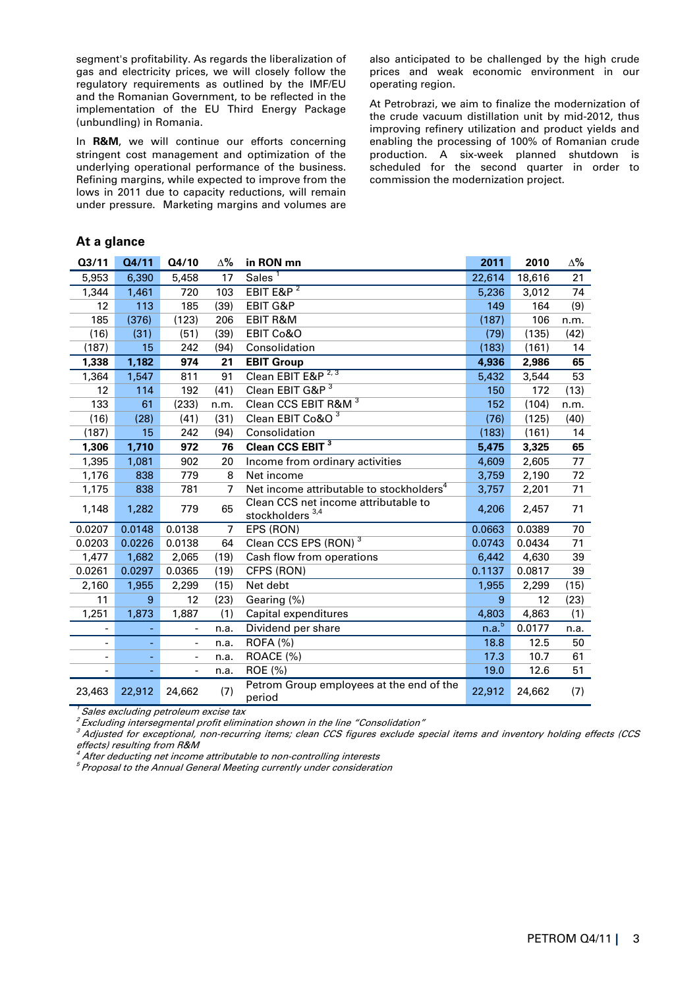segment's profitability. As regards the liberalization of gas and electricity prices, we will closely follow the regulatory requirements as outlined by the IMF/EU and the Romanian Government, to be reflected in the implementation of the EU Third Energy Package (unbundling) in Romania.

In **R&M**, we will continue our efforts concerning stringent cost management and optimization of the underlying operational performance of the business. Refining margins, while expected to improve from the lows in 2011 due to capacity reductions, will remain under pressure. Marketing margins and volumes are

also anticipated to be challenged by the high crude prices and weak economic environment in our operating region.

At Petrobrazi, we aim to finalize the modernization of the crude vacuum distillation unit by mid-2012, thus improving refinery utilization and product yields and enabling the processing of 100% of Romanian crude production. A six-week planned shutdown is scheduled for the second quarter in order to commission the modernization project.

### **At a glance**

| Q3/11                    | Q4/11  | Q4/10                    | $\Delta\%$     | in RON mn                                                           | 2011              | 2010   | Δ%   |
|--------------------------|--------|--------------------------|----------------|---------------------------------------------------------------------|-------------------|--------|------|
| 5,953                    | 6,390  | 5,458                    | 17             | Sales <sup>1</sup>                                                  | 22,614            | 18,616 | 21   |
| 1,344                    | 1,461  | 720                      | 103            | EBIT E&P $2$                                                        | 5,236             | 3,012  | 74   |
| 12                       | 113    | 185                      | (39)           | <b>EBIT G&amp;P</b>                                                 | 149               | 164    | (9)  |
| 185                      | (376)  | (123)                    | 206            | <b>EBIT R&amp;M</b>                                                 | (187)             | 106    | n.m. |
| (16)                     | (31)   | (51)                     | (39)           | EBIT Co&O                                                           | (79)              | (135)  | (42) |
| (187)                    | 15     | 242                      | (94)           | Consolidation                                                       | (183)             | (161)  | 14   |
| 1,338                    | 1,182  | 974                      | 21             | <b>EBIT Group</b>                                                   | 4,936             | 2,986  | 65   |
| 1,364                    | 1,547  | 811                      | 91             | Clean EBIT E&P <sup>2,3</sup>                                       | 5,432             | 3,544  | 53   |
| 12                       | 114    | 192                      | (41)           | Clean EBIT G&P <sup>3</sup>                                         | 150               | 172    | (13) |
| 133                      | 61     | (233)                    | n.m.           | Clean CCS EBIT R&M <sup>3</sup>                                     | 152               | (104)  | n.m. |
| (16)                     | (28)   | (41)                     | (31)           | Clean EBIT Co&O <sup>3</sup>                                        | (76)              | (125)  | (40) |
| (187)                    | 15     | 242                      | (94)           | Consolidation                                                       | (183)             | (161)  | 14   |
| 1,306                    | 1,710  | 972                      | 76             | Clean CCS EBIT <sup>3</sup>                                         | 5,475             | 3,325  | 65   |
| 1,395                    | 1,081  | 902                      | 20             | Income from ordinary activities                                     | 4,609             | 2,605  | 77   |
| 1,176                    | 838    | 779                      | 8              | Net income                                                          | 3,759             | 2,190  | 72   |
| 1,175                    | 838    | 781                      | $\overline{7}$ | Net income attributable to stockholders <sup>4</sup>                | 3,757             | 2,201  | 71   |
| 1,148                    | 1,282  | 779                      | 65             | Clean CCS net income attributable to<br>stockholders <sup>3,4</sup> | 4,206             | 2,457  | 71   |
| 0.0207                   | 0.0148 | 0.0138                   | $\overline{7}$ | EPS (RON)                                                           | 0.0663            | 0.0389 | 70   |
| 0.0203                   | 0.0226 | 0.0138                   | 64             | Clean CCS EPS (RON) <sup>3</sup>                                    | 0.0743            | 0.0434 | 71   |
| 1,477                    | 1,682  | 2,065                    | (19)           | Cash flow from operations                                           | 6,442             | 4,630  | 39   |
| 0.0261                   | 0.0297 | 0.0365                   | (19)           | CFPS (RON)                                                          | 0.1137            | 0.0817 | 39   |
| 2,160                    | 1,955  | 2,299                    | (15)           | Net debt                                                            | 1,955             | 2,299  | (15) |
| 11                       | 9      | 12                       | (23)           | Gearing (%)                                                         | 9                 | 12     | (23) |
| 1,251                    | 1,873  | 1,887                    | (1)            | Capital expenditures                                                | 4,803             | 4,863  | (1)  |
| -                        |        | $\overline{\phantom{0}}$ | n.a.           | Dividend per share                                                  | n.a. <sup>5</sup> | 0.0177 | n.a. |
| $\overline{\phantom{0}}$ |        | $\overline{\phantom{0}}$ | n.a.           | <b>ROFA (%)</b>                                                     | 18.8              | 12.5   | 50   |
| $\overline{\phantom{a}}$ |        | $\overline{\phantom{a}}$ | n.a.           | ROACE (%)                                                           | 17.3              | 10.7   | 61   |
|                          |        | $\blacksquare$           | n.a.           | ROE (%)                                                             | 19.0              | 12.6   | 51   |
| 23,463                   | 22,912 | 24,662                   | (7)            | Petrom Group employees at the end of the<br>period                  | 22,912            | 24,662 | (7)  |

 $^7$  Sales excluding petroleum excise tax

<sup>2</sup> Excluding intersegmental profit elimination shown in the line "Consolidation"

 $3$  Adjusted for exceptional, non-recurring items; clean CCS figures exclude special items and inventory holding effects (CCS effects) resulting from R&M

After deducting net income attributable to non-controlling interests

<sup>5</sup>Proposal to the Annual General Meeting currently under consideration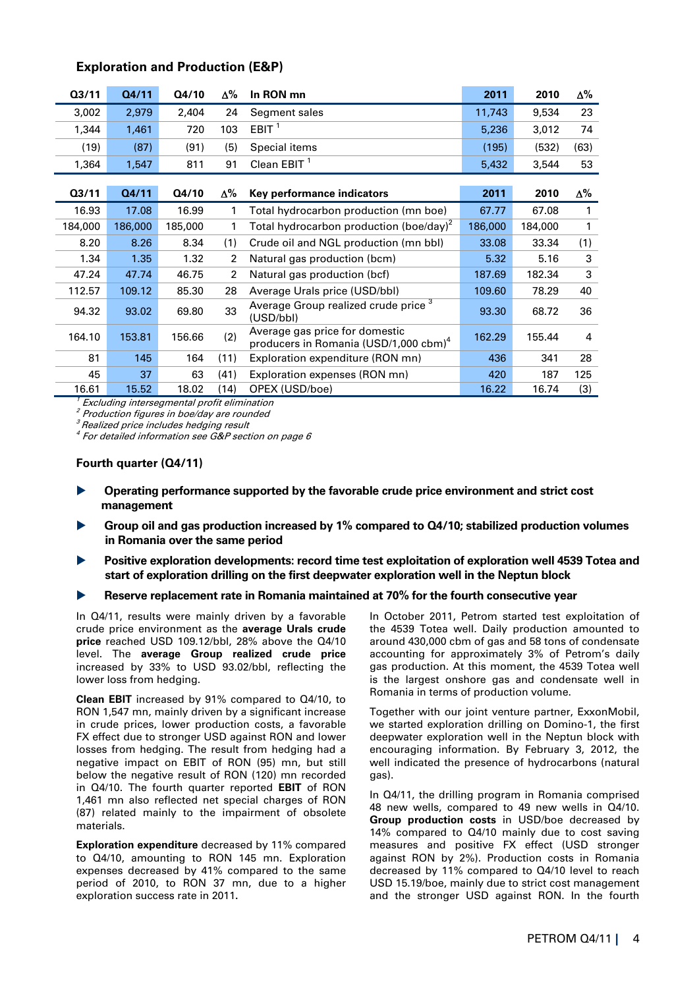| Q3/11   | Q4/11   | Q4/10   | Δ%   | In RON mn                                                                           | 2011    | 2010    | Δ%   |
|---------|---------|---------|------|-------------------------------------------------------------------------------------|---------|---------|------|
| 3,002   | 2,979   | 2,404   | 24   | Segment sales                                                                       | 11,743  | 9,534   | 23   |
| 1,344   | 1,461   | 720     | 103  | EBIT $1$                                                                            | 5,236   | 3,012   | 74   |
| (19)    | (87)    | (91)    | (5)  | Special items                                                                       | (195)   | (532)   | (63) |
| 1,364   | 1,547   | 811     | 91   | Clean EBIT <sup>1</sup>                                                             | 5,432   | 3,544   | 53   |
|         |         |         |      |                                                                                     |         |         |      |
| 03/11   | Q4/11   | Q4/10   | Δ%   | Key performance indicators                                                          | 2011    | 2010    | Δ%   |
| 16.93   | 17.08   | 16.99   | 1    | Total hydrocarbon production (mn boe)                                               | 67.77   | 67.08   | 1    |
| 184,000 | 186,000 | 185,000 | 1    | Total hydrocarbon production (boe/day) <sup>2</sup>                                 | 186,000 | 184,000 | 1    |
| 8.20    | 8.26    | 8.34    | (1)  | Crude oil and NGL production (mn bbl)                                               | 33.08   | 33.34   | (1)  |
| 1.34    | 1.35    | 1.32    | 2    | Natural gas production (bcm)                                                        | 5.32    | 5.16    | 3    |
| 47.24   | 47.74   | 46.75   | 2    | Natural gas production (bcf)                                                        | 187.69  | 182.34  | 3    |
| 112.57  | 109.12  | 85.30   | 28   | Average Urals price (USD/bbl)                                                       | 109.60  | 78.29   | 40   |
| 94.32   | 93.02   | 69.80   | 33   | Average Group realized crude price <sup>3</sup><br>(USD/bbl)                        | 93.30   | 68.72   | 36   |
| 164.10  | 153.81  | 156.66  | (2)  | Average gas price for domestic<br>producers in Romania (USD/1,000 cbm) <sup>4</sup> | 162.29  | 155.44  | 4    |
| 81      | 145     | 164     | (11) | Exploration expenditure (RON mn)                                                    | 436     | 341     | 28   |
| 45      | 37      | 63      | (41) | Exploration expenses (RON mn)                                                       | 420     | 187     | 125  |
| 16.61   | 15.52   | 18.02   | (14) | OPEX (USD/boe)                                                                      | 16.22   | 16.74   | (3)  |

# **Exploration and Production (E&P)**

**Excluding intersegmental profit elimination** 

 $2$  Production figures in boe/day are rounded

<sup>3</sup> Realized price includes hedging result

 $4$  For detailed information see G&P section on page 6

### **Fourth quarter (Q4/11)**

- **Operating performance supported by the favorable crude price environment and strict cost management**
- **Group oil and gas production increased by 1% compared to Q4/10; stabilized production volumes in Romania over the same period**
- **Positive exploration developments: record time test exploitation of exploration well 4539 Totea and start of exploration drilling on the first deepwater exploration well in the Neptun block**

### **Reserve replacement rate in Romania maintained at 70% for the fourth consecutive year**

In Q4/11, results were mainly driven by a favorable crude price environment as the **average Urals crude price** reached USD 109.12/bbl, 28% above the Q4/10 level. The **average Group realized crude price** increased by 33% to USD 93.02/bbl, reflecting the lower loss from hedging.

**Clean EBIT** increased by 91% compared to Q4/10, to RON 1,547 mn, mainly driven by a significant increase in crude prices, lower production costs, a favorable FX effect due to stronger USD against RON and lower losses from hedging. The result from hedging had a negative impact on EBIT of RON (95) mn, but still below the negative result of RON (120) mn recorded in Q4/10. The fourth quarter reported **EBIT** of RON 1,461 mn also reflected net special charges of RON (87) related mainly to the impairment of obsolete materials.

**Exploration expenditure** decreased by 11% compared to Q4/10, amounting to RON 145 mn. Exploration expenses decreased by 41% compared to the same period of 2010, to RON 37 mn, due to a higher exploration success rate in 2011**.** 

In October 2011, Petrom started test exploitation of the 4539 Totea well. Daily production amounted to around 430,000 cbm of gas and 58 tons of condensate accounting for approximately 3% of Petrom's daily gas production. At this moment, the 4539 Totea well is the largest onshore gas and condensate well in Romania in terms of production volume.

Together with our joint venture partner, ExxonMobil, we started exploration drilling on Domino-1, the first deepwater exploration well in the Neptun block with encouraging information. By February 3, 2012, the well indicated the presence of hydrocarbons (natural gas).

In Q4/11, the drilling program in Romania comprised 48 new wells, compared to 49 new wells in Q4/10. **Group production costs** in USD/boe decreased by 14% compared to Q4/10 mainly due to cost saving measures and positive FX effect (USD stronger against RON by 2%). Production costs in Romania decreased by 11% compared to Q4/10 level to reach USD 15.19/boe, mainly due to strict cost management and the stronger USD against RON. In the fourth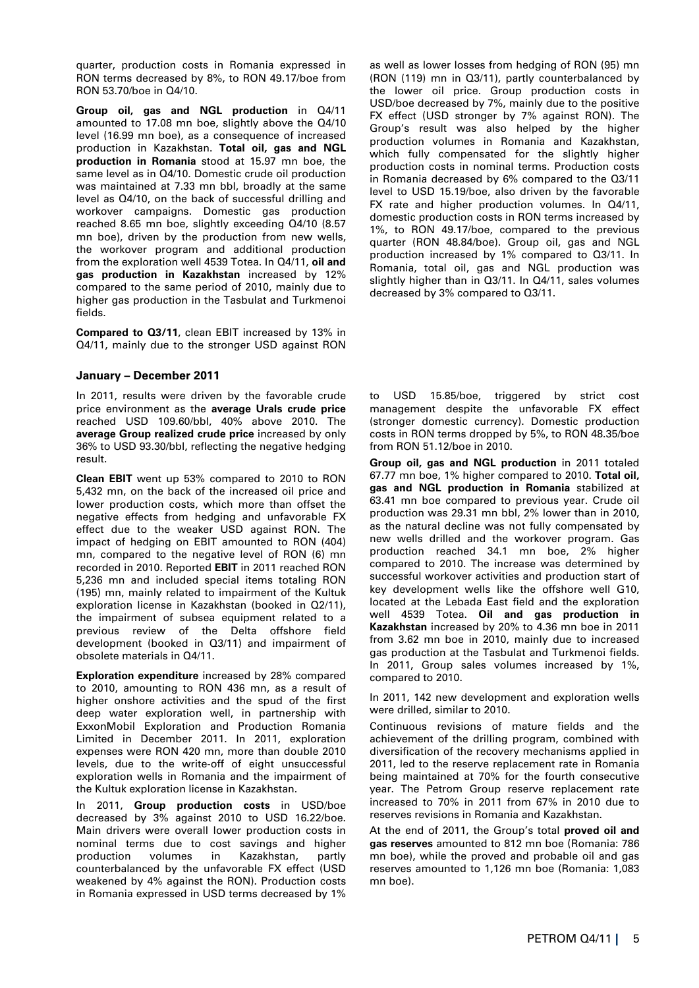quarter, production costs in Romania expressed in RON terms decreased by 8%, to RON 49.17/boe from RON 53.70/boe in Q4/10.

**Group oil, gas and NGL production** in Q4/11 amounted to 17.08 mn boe, slightly above the Q4/10 level (16.99 mn boe), as a consequence of increased production in Kazakhstan. **Total oil, gas and NGL production in Romania** stood at 15.97 mn boe, the same level as in Q4/10. Domestic crude oil production was maintained at 7.33 mn bbl, broadly at the same level as Q4/10, on the back of successful drilling and workover campaigns. Domestic gas production reached 8.65 mn boe, slightly exceeding Q4/10 (8.57 mn boe), driven by the production from new wells, the workover program and additional production from the exploration well 4539 Totea. In Q4/11, **oil and gas production in Kazakhstan** increased by 12% compared to the same period of 2010, mainly due to higher gas production in the Tasbulat and Turkmenoi fields.

**Compared to Q3/11**, clean EBIT increased by 13% in Q4/11, mainly due to the stronger USD against RON

### **January – December 2011**

In 2011, results were driven by the favorable crude price environment as the **average Urals crude price** reached USD 109.60/bbl, 40% above 2010. The **average Group realized crude price** increased by only 36% to USD 93.30/bbl, reflecting the negative hedging result.

**Clean EBIT** went up 53% compared to 2010 to RON 5,432 mn, on the back of the increased oil price and lower production costs, which more than offset the negative effects from hedging and unfavorable FX effect due to the weaker USD against RON. The impact of hedging on EBIT amounted to RON (404) mn, compared to the negative level of RON (6) mn recorded in 2010. Reported **EBIT** in 2011 reached RON 5,236 mn and included special items totaling RON (195) mn, mainly related to impairment of the Kultuk exploration license in Kazakhstan (booked in Q2/11), the impairment of subsea equipment related to a previous review of the Delta offshore field development (booked in Q3/11) and impairment of obsolete materials in Q4/11.

**Exploration expenditure** increased by 28% compared to 2010, amounting to RON 436 mn, as a result of higher onshore activities and the spud of the first deep water exploration well, in partnership with ExxonMobil Exploration and Production Romania Limited in December 2011. In 2011, exploration expenses were RON 420 mn, more than double 2010 levels, due to the write-off of eight unsuccessful exploration wells in Romania and the impairment of the Kultuk exploration license in Kazakhstan.

In 2011, **Group production costs** in USD/boe decreased by 3% against 2010 to USD 16.22/boe. Main drivers were overall lower production costs in nominal terms due to cost savings and higher production volumes in Kazakhstan, partly counterbalanced by the unfavorable FX effect (USD weakened by 4% against the RON). Production costs in Romania expressed in USD terms decreased by 1%

as well as lower losses from hedging of RON (95) mn (RON (119) mn in Q3/11), partly counterbalanced by the lower oil price. Group production costs in USD/boe decreased by 7%, mainly due to the positive FX effect (USD stronger by 7% against RON). The Group's result was also helped by the higher production volumes in Romania and Kazakhstan, which fully compensated for the slightly higher production costs in nominal terms. Production costs in Romania decreased by 6% compared to the Q3/11 level to USD 15.19/boe, also driven by the favorable FX rate and higher production volumes. In Q4/11, domestic production costs in RON terms increased by 1%, to RON 49.17/boe, compared to the previous quarter (RON 48.84/boe). Group oil, gas and NGL production increased by 1% compared to Q3/11. In Romania, total oil, gas and NGL production was slightly higher than in Q3/11. In Q4/11, sales volumes decreased by 3% compared to Q3/11.

to USD 15.85/boe, triggered by strict cost management despite the unfavorable FX effect (stronger domestic currency). Domestic production costs in RON terms dropped by 5%, to RON 48.35/boe from RON 51.12/boe in 2010.

**Group oil, gas and NGL production** in 2011 totaled 67.77 mn boe, 1% higher compared to 2010. **Total oil, gas and NGL production in Romania** stabilized at 63.41 mn boe compared to previous year. Crude oil production was 29.31 mn bbl, 2% lower than in 2010, as the natural decline was not fully compensated by new wells drilled and the workover program. Gas production reached 34.1 mn boe, 2% higher compared to 2010. The increase was determined by successful workover activities and production start of key development wells like the offshore well G10, located at the Lebada East field and the exploration well 4539 Totea. **Oil and gas production in Kazakhstan** increased by 20% to 4.36 mn boe in 2011 from 3.62 mn boe in 2010, mainly due to increased gas production at the Tasbulat and Turkmenoi fields. In 2011, Group sales volumes increased by 1%, compared to 2010.

In 2011, 142 new development and exploration wells were drilled, similar to 2010.

Continuous revisions of mature fields and the achievement of the drilling program, combined with diversification of the recovery mechanisms applied in 2011, led to the reserve replacement rate in Romania being maintained at 70% for the fourth consecutive year. The Petrom Group reserve replacement rate increased to 70% in 2011 from 67% in 2010 due to reserves revisions in Romania and Kazakhstan.

At the end of 2011, the Group's total **proved oil and gas reserves** amounted to 812 mn boe (Romania: 786 mn boe), while the proved and probable oil and gas reserves amounted to 1,126 mn boe (Romania: 1,083 mn boe).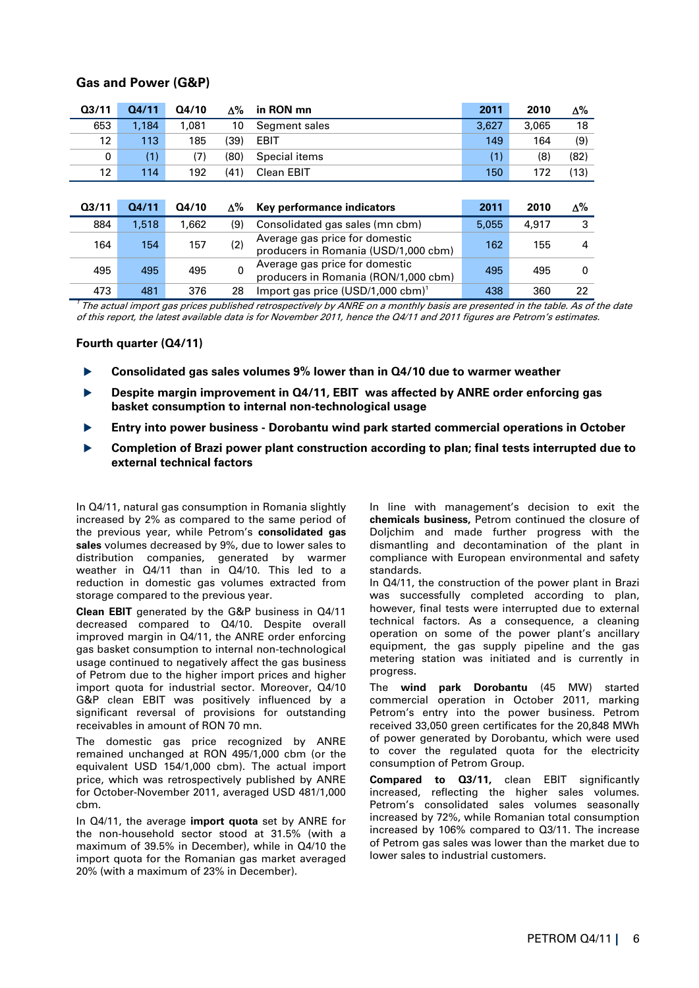| Q <sub>3/11</sub> | Q4/11 | Q4/10 | $\Lambda\%$ | in RON mn                                                              | 2011  | 2010  | $\Delta\%$ |
|-------------------|-------|-------|-------------|------------------------------------------------------------------------|-------|-------|------------|
| 653               | 1,184 | 1,081 | 10          | Segment sales                                                          | 3,627 | 3.065 | 18         |
| 12                | 113   | 185   | (39)        | <b>EBIT</b>                                                            | 149   | 164   | (9)        |
| 0                 | (1)   | (7)   | (80)        | Special items                                                          | (1)   | (8)   | (82)       |
| 12                | 114   | 192   | (41)        | Clean EBIT                                                             | 150   | 172   | (13)       |
|                   |       |       |             |                                                                        |       |       |            |
|                   |       |       |             |                                                                        |       |       |            |
| Q <sub>3/11</sub> | Q4/11 | Q4/10 | Δ%          | Key performance indicators                                             | 2011  | 2010  | $\Delta\%$ |
| 884               | 1,518 | 1,662 | (9)         | Consolidated gas sales (mn cbm)                                        | 5.055 | 4.917 | 3          |
| 164               | 154   | 157   | (2)         | Average gas price for domestic<br>producers in Romania (USD/1,000 cbm) | 162   | 155   | 4          |
| 495               | 495   | 495   | 0           | Average gas price for domestic<br>producers in Romania (RON/1,000 cbm) | 495   | 495   | $\Omega$   |

## **Gas and Power (G&P)**

 $^\prime$  The actual import gas prices published retrospectively by ANRE on a monthly basis are presented in the table. As of the date of this report, the latest available data is for November 2011, hence the Q4/11 and 2011 figures are Petrom's estimates.

### **Fourth quarter (Q4/11)**

- **Consolidated gas sales volumes 9% lower than in Q4/10 due to warmer weather**
- **Despite margin improvement in Q4/11, EBIT was affected by ANRE order enforcing gas basket consumption to internal non-technological usage**
- **Entry into power business Dorobantu wind park started commercial operations in October**
- **Completion of Brazi power plant construction according to plan; final tests interrupted due to external technical factors**

In Q4/11, natural gas consumption in Romania slightly increased by 2% as compared to the same period of the previous year, while Petrom's **consolidated gas sales** volumes decreased by 9%, due to lower sales to distribution companies, generated by warmer weather in Q4/11 than in Q4/10. This led to a reduction in domestic gas volumes extracted from storage compared to the previous year.

**Clean EBIT** generated by the G&P business in Q4/11 decreased compared to Q4/10. Despite overall improved margin in Q4/11, the ANRE order enforcing gas basket consumption to internal non-technological usage continued to negatively affect the gas business of Petrom due to the higher import prices and higher import quota for industrial sector. Moreover, Q4/10 G&P clean EBIT was positively influenced by a significant reversal of provisions for outstanding receivables in amount of RON 70 mn.

The domestic gas price recognized by ANRE remained unchanged at RON 495/1,000 cbm (or the equivalent USD 154/1,000 cbm). The actual import price, which was retrospectively published by ANRE for October-November 2011, averaged USD 481/1,000 cbm.

In Q4/11, the average **import quota** set by ANRE for the non-household sector stood at 31.5% (with a maximum of 39.5% in December), while in Q4/10 the import quota for the Romanian gas market averaged 20% (with a maximum of 23% in December).

In line with management's decision to exit the **chemicals business,** Petrom continued the closure of Doljchim and made further progress with the dismantling and decontamination of the plant in compliance with European environmental and safety standards.

In Q4/11, the construction of the power plant in Brazi was successfully completed according to plan, however, final tests were interrupted due to external technical factors. As a consequence, a cleaning operation on some of the power plant's ancillary equipment, the gas supply pipeline and the gas metering station was initiated and is currently in progress.

The **wind park Dorobantu** (45 MW) started commercial operation in October 2011, marking Petrom's entry into the power business. Petrom received 33,050 green certificates for the 20,848 MWh of power generated by Dorobantu, which were used to cover the regulated quota for the electricity consumption of Petrom Group.

**Compared to Q3/11, clean EBIT significantly** increased, reflecting the higher sales volumes. Petrom's consolidated sales volumes seasonally increased by 72%, while Romanian total consumption increased by 106% compared to Q3/11. The increase of Petrom gas sales was lower than the market due to lower sales to industrial customers.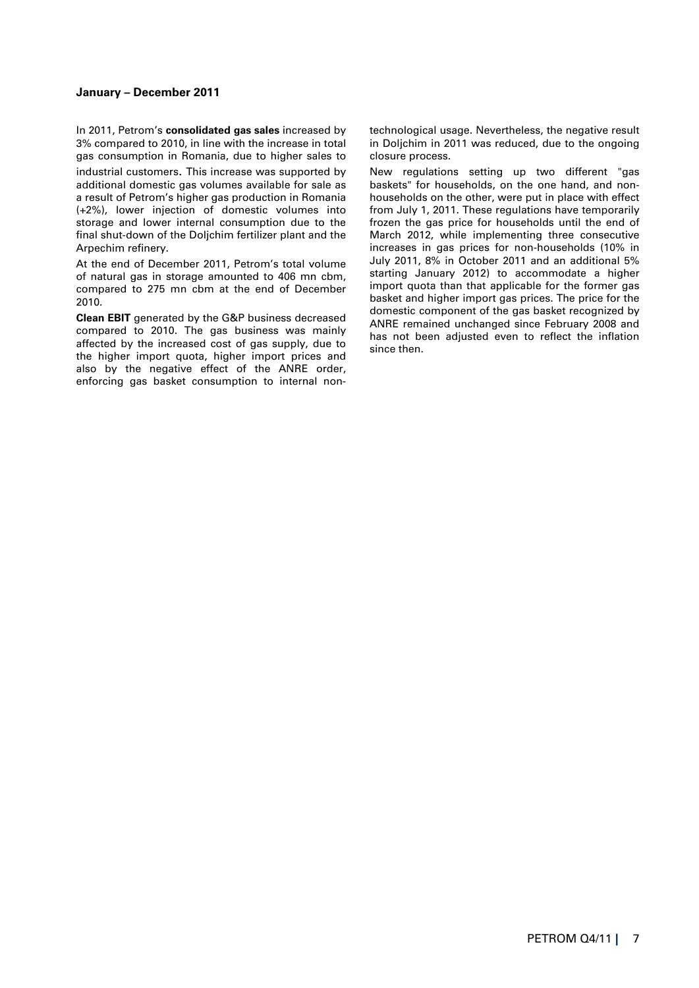#### **January – December 2011**

In 2011, Petrom's **consolidated gas sales** increased by 3% compared to 2010, in line with the increase in total gas consumption in Romania, due to higher sales to industrial customers. This increase was supported by additional domestic gas volumes available for sale as a result of Petrom's higher gas production in Romania (+2%), lower injection of domestic volumes into storage and lower internal consumption due to the final shut-down of the Doljchim fertilizer plant and the Arpechim refinery.

At the end of December 2011, Petrom's total volume of natural gas in storage amounted to 406 mn cbm, compared to 275 mn cbm at the end of December 2010.

**Clean EBIT** generated by the G&P business decreased compared to 2010. The gas business was mainly affected by the increased cost of gas supply, due to the higher import quota, higher import prices and also by the negative effect of the ANRE order, enforcing gas basket consumption to internal non-

technological usage. Nevertheless, the negative result in Doljchim in 2011 was reduced, due to the ongoing closure process.

New regulations setting up two different "gas baskets" for households, on the one hand, and nonhouseholds on the other, were put in place with effect from July 1, 2011. These regulations have temporarily frozen the gas price for households until the end of March 2012, while implementing three consecutive increases in gas prices for non-households (10% in July 2011, 8% in October 2011 and an additional 5% starting January 2012) to accommodate a higher import quota than that applicable for the former gas basket and higher import gas prices. The price for the domestic component of the gas basket recognized by ANRE remained unchanged since February 2008 and has not been adjusted even to reflect the inflation since then.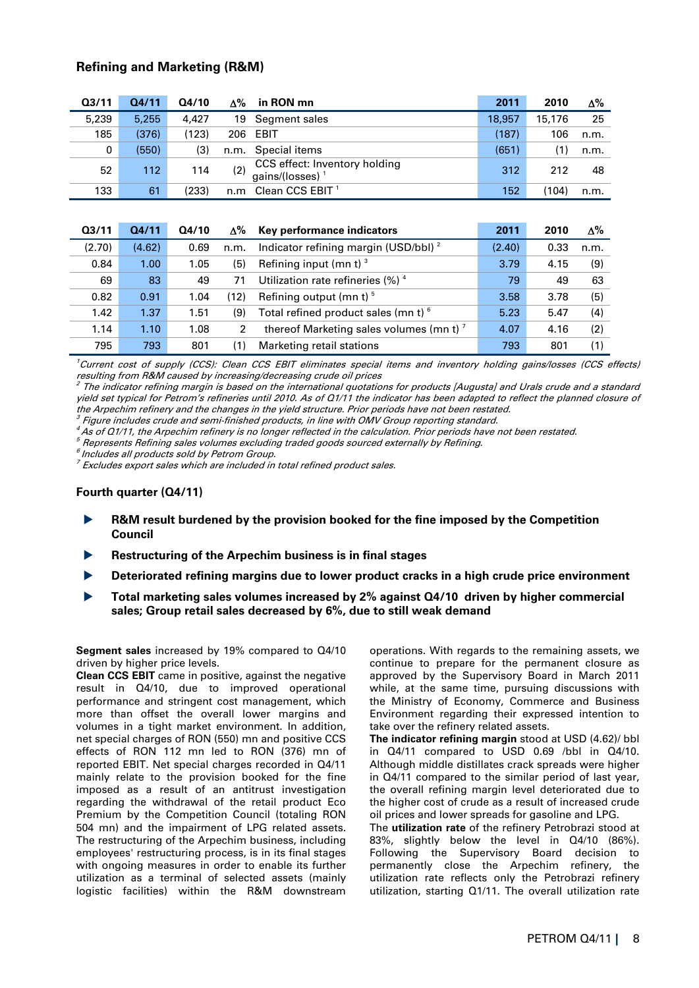## **Refining and Marketing (R&M)**

| Q <sub>3/11</sub> | 04/11 | Q4/10 | Δ%   | in RON mn                                           | 2011   | 2010   | Δ%   |
|-------------------|-------|-------|------|-----------------------------------------------------|--------|--------|------|
| 5,239             | 5.255 | 4.427 | 19   | Segment sales                                       | 18.957 | 15,176 | 25   |
| 185               | (376) | (123) | 206  | EBIT                                                | (187)  | 106    | n.m. |
| 0                 | (550) | (3)   | n.m. | Special items                                       | (651)  | 1)     | n.m. |
| 52                | 112   | 114   | (2)  | CCS effect: Inventory holding<br>gains/(losses) $1$ | 312    | 212    | 48   |
| 133               | 61    | (233) | n.m  | Clean CCS EBIT <sup>1</sup>                         | 152    | (104)  | n.m. |

| Q <sub>3/11</sub> | 04/11  | Q4/10 | Δ%   | Key performance indicators                          | 2011   | 2010 | $\Delta\%$ |
|-------------------|--------|-------|------|-----------------------------------------------------|--------|------|------------|
| (2.70)            | (4.62) | 0.69  | n.m. | Indicator refining margin (USD/bbl) <sup>2</sup>    | (2.40) | 0.33 | n.m.       |
| 0.84              | 1.00   | 1.05  | (5)  | Refining input (mn t) $3$                           | 3.79   | 4.15 | (9)        |
| 69                | 83     | 49    | 71   | Utilization rate refineries $(\%)$ <sup>4</sup>     | 79     | 49   | 63         |
| 0.82              | 0.91   | 1.04  | (12) | Refining output (mn t) $5$                          | 3.58   | 3.78 | (5)        |
| 1.42              | 1.37   | 1.51  | (9)  | Total refined product sales (mn t) 6                | 5.23   | 5.47 | (4)        |
| 1.14              | 1.10   | 1.08  | 2    | thereof Marketing sales volumes (mn t) <sup>7</sup> | 4.07   | 4.16 | (2)        |
| 795               | 793    | 801   | (1)  | Marketing retail stations                           | 793    | 801  | (1)        |

<sup>1</sup>Current cost of supply (CCS): Clean CCS EBIT eliminates special items and inventory holding gains/losses (CCS effects) resulting from R&M caused by increasing/decreasing crude oil prices<br><sup>2</sup> The indicator refining margin is based on the international quotations for products [Augusta] and Urals crude and a standard

yield set typical for Petrom's refineries until 2010. As of Q1/11 the indicator has been adapted to reflect the planned closure of the Arpechim refinery and the changes in the yield structure. Prior periods have not been restated.

 $^3$  Figure includes crude and semi-finished products, in line with OMV Group reporting standard.

<sup>4</sup>As of Q1/11, the Arpechim refinery is no longer reflected in the calculation. Prior periods have not been restated.

 $<sup>5</sup>$  Represents Refining sales volumes excluding traded goods sourced externally by Refining.</sup>

Includes all products sold by Petrom Group.

 $7$  Excludes export sales which are included in total refined product sales.

#### **Fourth quarter (Q4/11)**

- **R&M result burdened by the provision booked for the fine imposed by the Competition Council**
- **Restructuring of the Arpechim business is in final stages**
- **Deteriorated refining margins due to lower product cracks in a high crude price environment**
- **Total marketing sales volumes increased by 2% against Q4/10 driven by higher commercial sales; Group retail sales decreased by 6%, due to still weak demand**

**Segment sales** increased by 19% compared to Q4/10 driven by higher price levels.

**Clean CCS EBIT** came in positive, against the negative result in Q4/10, due to improved operational performance and stringent cost management, which more than offset the overall lower margins and volumes in a tight market environment. In addition, net special charges of RON (550) mn and positive CCS effects of RON 112 mn led to RON (376) mn of reported EBIT. Net special charges recorded in Q4/11 mainly relate to the provision booked for the fine imposed as a result of an antitrust investigation regarding the withdrawal of the retail product Eco Premium by the Competition Council (totaling RON 504 mn) and the impairment of LPG related assets. The restructuring of the Arpechim business, including employees' restructuring process, is in its final stages with ongoing measures in order to enable its further utilization as a terminal of selected assets (mainly logistic facilities) within the R&M downstream

operations. With regards to the remaining assets, we continue to prepare for the permanent closure as approved by the Supervisory Board in March 2011 while, at the same time, pursuing discussions with the Ministry of Economy, Commerce and Business Environment regarding their expressed intention to take over the refinery related assets.

**The indicator refining margin** stood at USD (4.62)/ bbl in Q4/11 compared to USD 0.69 /bbl in Q4/10. Although middle distillates crack spreads were higher in Q4/11 compared to the similar period of last year, the overall refining margin level deteriorated due to the higher cost of crude as a result of increased crude oil prices and lower spreads for gasoline and LPG.

The **utilization rate** of the refinery Petrobrazi stood at 83%, slightly below the level in Q4/10 (86%). Following the Supervisory Board decision to permanently close the Arpechim refinery, the utilization rate reflects only the Petrobrazi refinery utilization, starting Q1/11. The overall utilization rate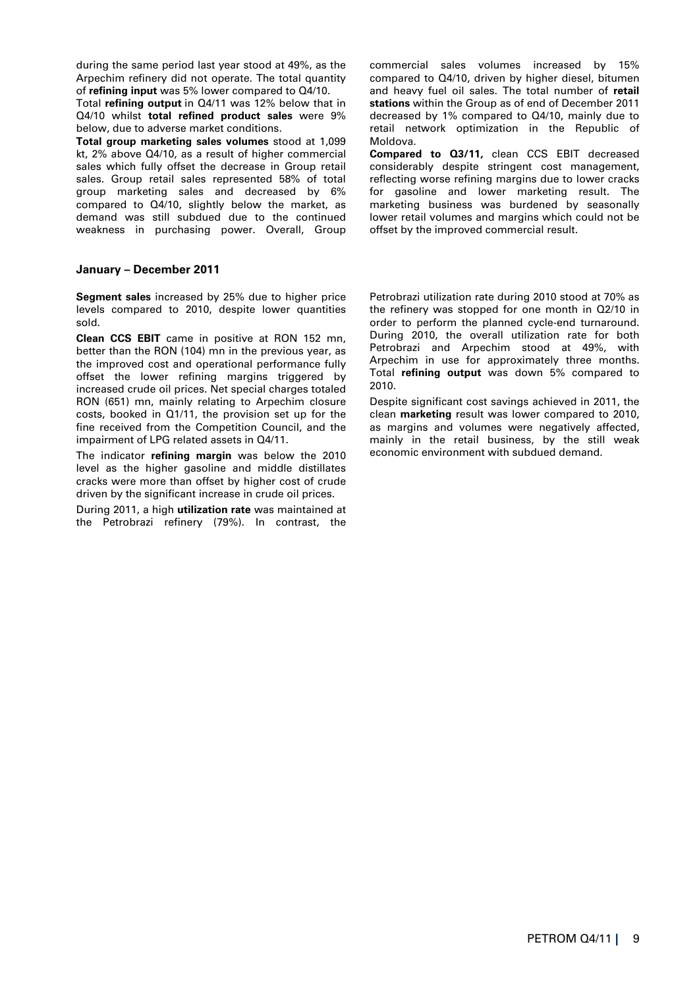during the same period last year stood at 49%, as the Arpechim refinery did not operate. The total quantity of **refining input** was 5% lower compared to Q4/10.

Total **refining output** in Q4/11 was 12% below that in Q4/10 whilst **total refined product sales** were 9% below, due to adverse market conditions.

**Total group marketing sales volumes** stood at 1,099 kt, 2% above Q4/10, as a result of higher commercial sales which fully offset the decrease in Group retail sales. Group retail sales represented 58% of total group marketing sales and decreased by 6% compared to Q4/10, slightly below the market, as demand was still subdued due to the continued weakness in purchasing power. Overall, Group

### **January – December 2011**

**Segment sales** increased by 25% due to higher price levels compared to 2010, despite lower quantities sold.

**Clean CCS EBIT** came in positive at RON 152 mn, better than the RON (104) mn in the previous year, as the improved cost and operational performance fully offset the lower refining margins triggered by increased crude oil prices. Net special charges totaled RON (651) mn, mainly relating to Arpechim closure costs, booked in Q1/11, the provision set up for the fine received from the Competition Council, and the impairment of LPG related assets in Q4/11.

The indicator **refining margin** was below the 2010 level as the higher gasoline and middle distillates cracks were more than offset by higher cost of crude driven by the significant increase in crude oil prices.

During 2011, a high **utilization rate** was maintained at the Petrobrazi refinery (79%). In contrast, the commercial sales volumes increased by 15% compared to Q4/10, driven by higher diesel, bitumen and heavy fuel oil sales. The total number of **retail stations** within the Group as of end of December 2011 decreased by 1% compared to Q4/10, mainly due to retail network optimization in the Republic of Moldova.

**Compared to Q3/11,** clean CCS EBIT decreased considerably despite stringent cost management, reflecting worse refining margins due to lower cracks for gasoline and lower marketing result. The marketing business was burdened by seasonally lower retail volumes and margins which could not be offset by the improved commercial result.

Petrobrazi utilization rate during 2010 stood at 70% as the refinery was stopped for one month in Q2/10 in order to perform the planned cycle-end turnaround. During 2010, the overall utilization rate for both Petrobrazi and Arpechim stood at 49%, with Arpechim in use for approximately three months. Total **refining output** was down 5% compared to 2010.

Despite significant cost savings achieved in 2011, the clean **marketing** result was lower compared to 2010, as margins and volumes were negatively affected, mainly in the retail business, by the still weak economic environment with subdued demand.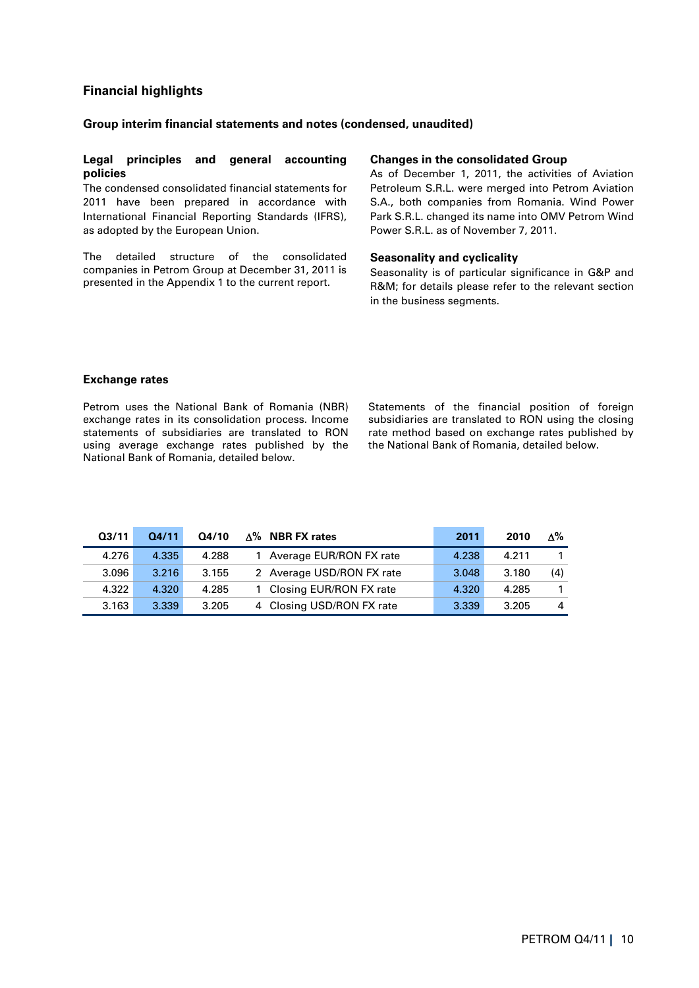# **Financial highlights**

### **Group interim financial statements and notes (condensed, unaudited)**

### **Legal principles and general accounting policies**

The condensed consolidated financial statements for 2011 have been prepared in accordance with International Financial Reporting Standards (IFRS), as adopted by the European Union.

The detailed structure of the consolidated companies in Petrom Group at December 31, 2011 is presented in the Appendix 1 to the current report.

### **Changes in the consolidated Group**

As of December 1, 2011, the activities of Aviation Petroleum S.R.L. were merged into Petrom Aviation S.A., both companies from Romania. Wind Power Park S.R.L. changed its name into OMV Petrom Wind Power S.R.L. as of November 7, 2011.

#### **Seasonality and cyclicality**

Seasonality is of particular significance in G&P and R&M; for details please refer to the relevant section in the business segments.

#### **Exchange rates**

Petrom uses the National Bank of Romania (NBR) exchange rates in its consolidation process. Income statements of subsidiaries are translated to RON using average exchange rates published by the National Bank of Romania, detailed below.

Statements of the financial position of foreign subsidiaries are translated to RON using the closing rate method based on exchange rates published by the National Bank of Romania, detailed below.

| Q <sub>3/11</sub> | 04/11 | Q4/10 | $\Delta\%$ NBR FX rates   | 2011  | 2010  | $\Lambda\%$ |
|-------------------|-------|-------|---------------------------|-------|-------|-------------|
| 4.276             | 4.335 | 4.288 | Average EUR/RON FX rate   | 4.238 | 4.211 |             |
| 3.096             | 3.216 | 3.155 | 2 Average USD/RON FX rate | 3.048 | 3.180 | (4)         |
| 4.322             | 4.320 | 4.285 | Closing EUR/RON FX rate   | 4.320 | 4.285 |             |
| 3.163             | 3.339 | 3.205 | 4 Closing USD/RON FX rate | 3.339 | 3.205 | 4           |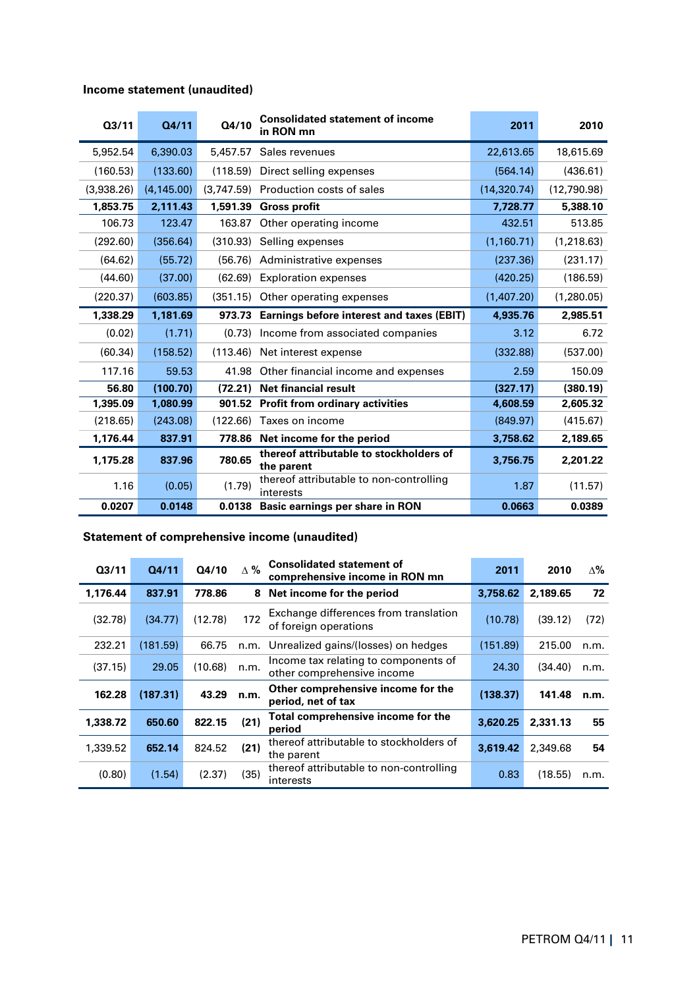# **Income statement (unaudited)**

| 03/11      | Q4/11       | Q4/10      | <b>Consolidated statement of income</b><br>in RON mn  | 2011         | 2010        |
|------------|-------------|------------|-------------------------------------------------------|--------------|-------------|
| 5,952.54   | 6,390.03    | 5,457.57   | Sales revenues                                        | 22,613.65    | 18,615.69   |
| (160.53)   | (133.60)    | (118.59)   | Direct selling expenses                               | (564.14)     | (436.61)    |
| (3,938.26) | (4, 145.00) | (3,747.59) | Production costs of sales                             | (14, 320.74) | (12,790.98) |
| 1,853.75   | 2,111.43    | 1,591.39   | <b>Gross profit</b>                                   | 7,728.77     | 5,388.10    |
| 106.73     | 123.47      | 163.87     | Other operating income                                | 432.51       | 513.85      |
| (292.60)   | (356.64)    | (310.93)   | Selling expenses                                      | (1, 160.71)  | (1, 218.63) |
| (64.62)    | (55.72)     | (56.76)    | Administrative expenses                               | (237.36)     | (231.17)    |
| (44.60)    | (37.00)     | (62.69)    | <b>Exploration expenses</b>                           | (420.25)     | (186.59)    |
| (220.37)   | (603.85)    | (351.15)   | Other operating expenses                              | (1,407.20)   | (1,280.05)  |
| 1,338.29   | 1,181.69    |            | 973.73 Earnings before interest and taxes (EBIT)      | 4,935.76     | 2,985.51    |
| (0.02)     | (1.71)      | (0.73)     | Income from associated companies                      | 3.12         | 6.72        |
| (60.34)    | (158.52)    | (113.46)   | Net interest expense                                  | (332.88)     | (537.00)    |
| 117.16     | 59.53       | 41.98      | Other financial income and expenses                   | 2.59         | 150.09      |
| 56.80      | (100.70)    | (72.21)    | <b>Net financial result</b>                           | (327.17)     | (380.19)    |
| 1,395.09   | 1,080.99    | 901.52     | <b>Profit from ordinary activities</b>                | 4,608.59     | 2,605.32    |
| (218.65)   | (243.08)    | (122.66)   | Taxes on income                                       | (849.97)     | (415.67)    |
| 1,176.44   | 837.91      | 778.86     | Net income for the period                             | 3,758.62     | 2,189.65    |
| 1,175.28   | 837.96      | 780.65     | thereof attributable to stockholders of<br>the parent | 3,756.75     | 2,201.22    |
| 1.16       | (0.05)      | (1.79)     | thereof attributable to non-controlling<br>interests  | 1.87         | (11.57)     |
| 0.0207     | 0.0148      | 0.0138     | Basic earnings per share in RON                       | 0.0663       | 0.0389      |

# **Statement of comprehensive income (unaudited)**

| Q <sub>3/11</sub> | Q4/11    | Q4/10   | $\Delta \%$ | <b>Consolidated statement of</b><br>comprehensive income in RON mn          | 2011     | 2010     | ∆%   |
|-------------------|----------|---------|-------------|-----------------------------------------------------------------------------|----------|----------|------|
| 1,176.44          | 837.91   | 778.86  | 8           | Net income for the period                                                   | 3,758.62 | 2,189.65 | 72   |
| (32.78)           | (34.77)  | (12.78) | 172         | Exchange differences from translation<br>of foreign operations              | (10.78)  | (39.12)  | (72) |
| 232.21            | (181.59) | 66.75   | n.m.        | Unrealized gains/(losses) on hedges                                         | (151.89) | 215.00   | n.m. |
| (37.15)           | 29.05    | (10.68) | n.m.        | Income tax relating to components of<br>24.30<br>other comprehensive income |          | (34.40)  | n.m. |
| 162.28            | (187.31) | 43.29   | n.m.        | Other comprehensive income for the<br>(138.37)<br>period, net of tax        |          | 141.48   | n.m. |
| 1,338.72          | 650.60   | 822.15  | (21)        | Total comprehensive income for the<br>period                                | 3,620.25 | 2,331.13 | 55   |
| 1,339.52          | 652.14   | 824.52  | (21)        | thereof attributable to stockholders of<br>the parent                       | 3.619.42 | 2,349.68 | 54   |
| (0.80)            | (1.54)   | (2.37)  | (35)        | thereof attributable to non-controlling<br>0.83<br>interests                |          | (18.55)  | n.m. |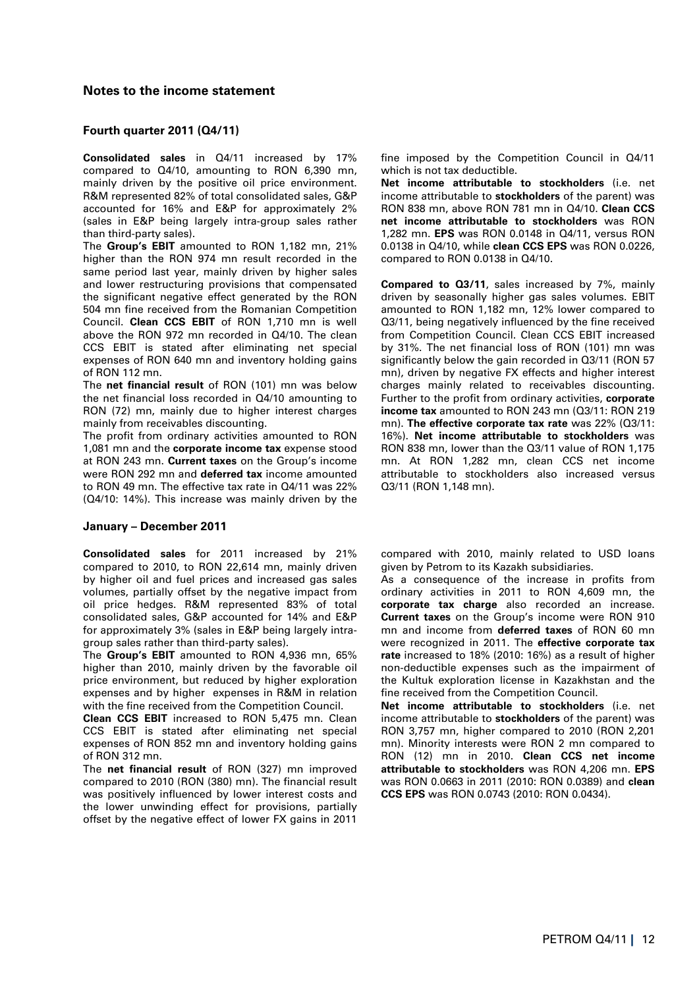### **Notes to the income statement**

### **Fourth quarter 2011 (Q4/11)**

**Consolidated sales** in Q4/11 increased by 17% compared to Q4/10, amounting to RON 6,390 mn, mainly driven by the positive oil price environment. R&M represented 82% of total consolidated sales, G&P accounted for 16% and E&P for approximately 2% (sales in E&P being largely intra-group sales rather than third-party sales).

The **Group's EBIT** amounted to RON 1,182 mn, 21% higher than the RON 974 mn result recorded in the same period last year, mainly driven by higher sales and lower restructuring provisions that compensated the significant negative effect generated by the RON 504 mn fine received from the Romanian Competition Council. **Clean CCS EBIT** of RON 1,710 mn is well above the RON 972 mn recorded in Q4/10. The clean CCS EBIT is stated after eliminating net special expenses of RON 640 mn and inventory holding gains of RON 112 mn.

The **net financial result** of RON (101) mn was below the net financial loss recorded in Q4/10 amounting to RON (72) mn, mainly due to higher interest charges mainly from receivables discounting.

The profit from ordinary activities amounted to RON 1,081 mn and the **corporate income tax** expense stood at RON 243 mn. **Current taxes** on the Group's income were RON 292 mn and **deferred tax** income amounted to RON 49 mn. The effective tax rate in Q4/11 was 22% (Q4/10: 14%). This increase was mainly driven by the

#### **January – December 2011**

**Consolidated sales** for 2011 increased by 21% compared to 2010, to RON 22,614 mn, mainly driven by higher oil and fuel prices and increased gas sales volumes, partially offset by the negative impact from oil price hedges. R&M represented 83% of total consolidated sales, G&P accounted for 14% and E&P for approximately 3% (sales in E&P being largely intragroup sales rather than third-party sales).

The **Group's EBIT** amounted to RON 4,936 mn, 65% higher than 2010, mainly driven by the favorable oil price environment, but reduced by higher exploration expenses and by higher expenses in R&M in relation with the fine received from the Competition Council.

**Clean CCS EBIT** increased to RON 5,475 mn. Clean CCS EBIT is stated after eliminating net special expenses of RON 852 mn and inventory holding gains of RON 312 mn.

The **net financial result** of RON (327) mn improved compared to 2010 (RON (380) mn). The financial result was positively influenced by lower interest costs and the lower unwinding effect for provisions, partially offset by the negative effect of lower FX gains in 2011

fine imposed by the Competition Council in Q4/11 which is not tax deductible.

**Net income attributable to stockholders** (i.e. net income attributable to **stockholders** of the parent) was RON 838 mn, above RON 781 mn in Q4/10. **Clean CCS net income attributable to stockholders** was RON 1,282 mn. **EPS** was RON 0.0148 in Q4/11, versus RON 0.0138 in Q4/10, while **clean CCS EPS** was RON 0.0226, compared to RON 0.0138 in Q4/10.

**Compared to Q3/11**, sales increased by 7%, mainly driven by seasonally higher gas sales volumes. EBIT amounted to RON 1,182 mn, 12% lower compared to Q3/11, being negatively influenced by the fine received from Competition Council. Clean CCS EBIT increased by 31%. The net financial loss of RON (101) mn was significantly below the gain recorded in Q3/11 (RON 57 mn), driven by negative FX effects and higher interest charges mainly related to receivables discounting. Further to the profit from ordinary activities, **corporate income tax** amounted to RON 243 mn (Q3/11: RON 219 mn). **The effective corporate tax rate** was 22% (Q3/11: 16%). **Net income attributable to stockholders** was RON 838 mn, lower than the Q3/11 value of RON 1,175 mn. At RON 1,282 mn, clean CCS net income attributable to stockholders also increased versus Q3/11 (RON 1,148 mn).

compared with 2010, mainly related to USD loans given by Petrom to its Kazakh subsidiaries.

As a consequence of the increase in profits from ordinary activities in 2011 to RON 4,609 mn, the **corporate tax charge** also recorded an increase. **Current taxes** on the Group's income were RON 910 mn and income from **deferred taxes** of RON 60 mn were recognized in 2011. The **effective corporate tax rate** increased to 18% (2010: 16%) as a result of higher non-deductible expenses such as the impairment of the Kultuk exploration license in Kazakhstan and the fine received from the Competition Council.

**Net income attributable to stockholders** (i.e. net income attributable to **stockholders** of the parent) was RON 3,757 mn, higher compared to 2010 (RON 2,201 mn). Minority interests were RON 2 mn compared to RON (12) mn in 2010. **Clean CCS net income attributable to stockholders** was RON 4,206 mn. **EPS**  was RON 0.0663 in 2011 (2010: RON 0.0389) and **clean CCS EPS** was RON 0.0743 (2010: RON 0.0434).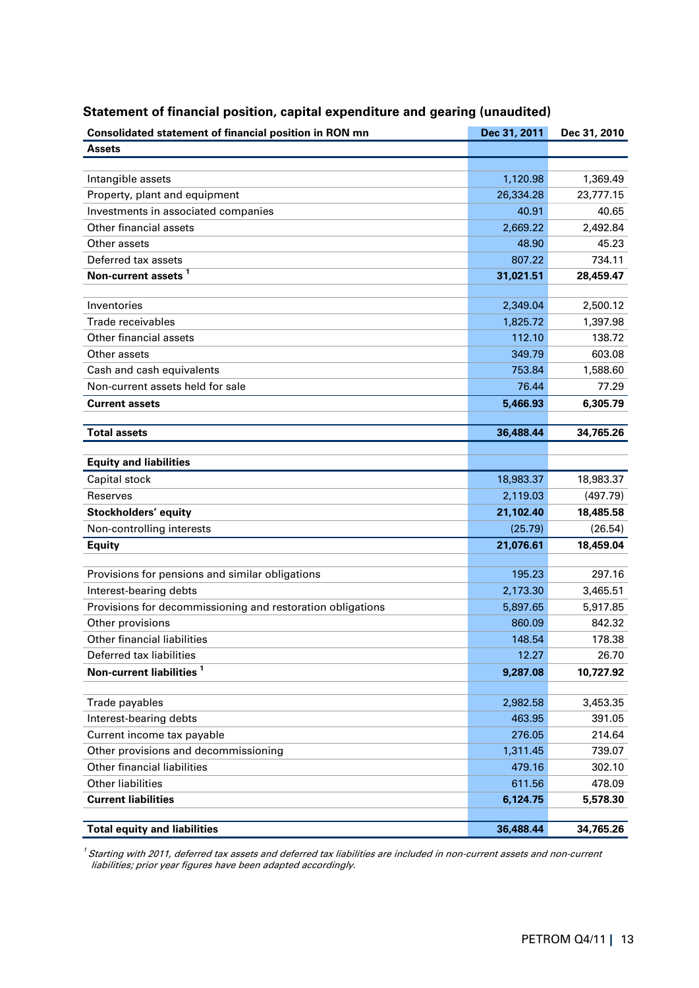| Consolidated statement of financial position in RON mn     | Dec 31, 2011 | Dec 31, 2010 |
|------------------------------------------------------------|--------------|--------------|
| <b>Assets</b>                                              |              |              |
|                                                            |              |              |
| Intangible assets                                          | 1,120.98     | 1,369.49     |
| Property, plant and equipment                              | 26,334.28    | 23,777.15    |
| Investments in associated companies                        | 40.91        | 40.65        |
| Other financial assets                                     | 2,669.22     | 2,492.84     |
| Other assets                                               | 48.90        | 45.23        |
| Deferred tax assets                                        | 807.22       | 734.11       |
| Non-current assets <sup>1</sup>                            | 31,021.51    | 28,459.47    |
|                                                            |              |              |
| Inventories                                                | 2,349.04     | 2,500.12     |
| Trade receivables                                          | 1,825.72     | 1,397.98     |
| Other financial assets                                     | 112.10       | 138.72       |
| Other assets                                               | 349.79       | 603.08       |
| Cash and cash equivalents                                  | 753.84       | 1,588.60     |
| Non-current assets held for sale                           | 76.44        | 77.29        |
| <b>Current assets</b>                                      | 5,466.93     | 6,305.79     |
|                                                            |              |              |
| <b>Total assets</b>                                        | 36,488.44    | 34,765.26    |
| <b>Equity and liabilities</b>                              |              |              |
| Capital stock                                              | 18,983.37    | 18,983.37    |
| Reserves                                                   | 2,119.03     | (497.79)     |
| Stockholders' equity                                       | 21,102.40    | 18,485.58    |
| Non-controlling interests                                  | (25.79)      | (26.54)      |
| <b>Equity</b>                                              | 21,076.61    | 18,459.04    |
|                                                            |              |              |
| Provisions for pensions and similar obligations            | 195.23       | 297.16       |
| Interest-bearing debts                                     | 2,173.30     | 3,465.51     |
| Provisions for decommissioning and restoration obligations | 5,897.65     | 5,917.85     |
| Other provisions                                           | 860.09       | 842.32       |
| <b>Other financial liabilities</b>                         | 148.54       | 178.38       |
| Deferred tax liabilities                                   | 12.27        | 26.70        |
| Non-current liabilities <sup>1</sup>                       | 9,287.08     | 10,727.92    |
|                                                            |              |              |
| Trade payables                                             | 2,982.58     | 3,453.35     |
| Interest-bearing debts                                     | 463.95       | 391.05       |
| Current income tax payable                                 | 276.05       | 214.64       |
| Other provisions and decommissioning                       | 1,311.45     | 739.07       |
| Other financial liabilities                                | 479.16       | 302.10       |
| <b>Other liabilities</b>                                   | 611.56       | 478.09       |
| <b>Current liabilities</b>                                 | 6,124.75     | 5,578.30     |
|                                                            |              |              |
| <b>Total equity and liabilities</b>                        | 36,488.44    | 34,765.26    |

# **Statement of financial position, capital expenditure and gearing (unaudited)**

 $^{\prime}$  Starting with 2011, deferred tax assets and deferred tax liabilities are included in non-current assets and non-current liabilities; prior year figures have been adapted accordingly.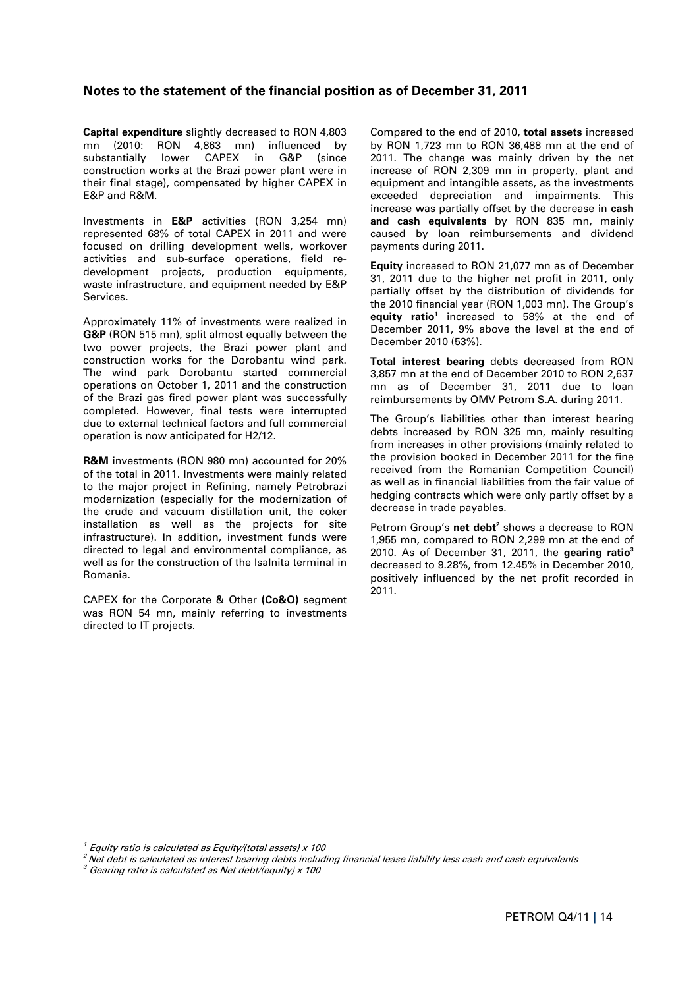## **Notes to the statement of the financial position as of December 31, 2011**

**Capital expenditure** slightly decreased to RON 4,803 mn (2010: RON 4,863 mn) influenced by substantially lower CAPEX in G&P (since construction works at the Brazi power plant were in their final stage), compensated by higher CAPEX in E&P and R&M.

Investments in **E&P** activities (RON 3,254 mn) represented 68% of total CAPEX in 2011 and were focused on drilling development wells, workover activities and sub-surface operations, field redevelopment projects, production equipments, waste infrastructure, and equipment needed by E&P Services.

Approximately 11% of investments were realized in **G&P** (RON 515 mn), split almost equally between the two power projects, the Brazi power plant and construction works for the Dorobantu wind park. The wind park Dorobantu started commercial operations on October 1, 2011 and the construction of the Brazi gas fired power plant was successfully completed. However, final tests were interrupted due to external technical factors and full commercial operation is now anticipated for H2/12.

**R&M** investments (RON 980 mn) accounted for 20% of the total in 2011. Investments were mainly related to the major project in Refining, namely Petrobrazi modernization (especially for the modernization of the crude and vacuum distillation unit, the coker installation as well as the projects for site infrastructure). In addition, investment funds were directed to legal and environmental compliance, as well as for the construction of the Isalnita terminal in Romania.

CAPEX for the Corporate & Other **(Co&O)** segment was RON 54 mn, mainly referring to investments directed to IT projects.

Compared to the end of 2010, **total assets** increased by RON 1,723 mn to RON 36,488 mn at the end of 2011. The change was mainly driven by the net increase of RON 2,309 mn in property, plant and equipment and intangible assets, as the investments exceeded depreciation and impairments. This increase was partially offset by the decrease in **cash and cash equivalents** by RON 835 mn, mainly caused by loan reimbursements and dividend payments during 2011.

**Equity** increased to RON 21,077 mn as of December 31, 2011 due to the higher net profit in 2011, only partially offset by the distribution of dividends for the 2010 financial year (RON 1,003 mn). The Group's equity ratio<sup>1</sup> increased to 58% at the end of December 2011, 9% above the level at the end of December 2010 (53%).

**Total interest bearing** debts decreased from RON 3,857 mn at the end of December 2010 to RON 2,637 mn as of December 31, 2011 due to loan reimbursements by OMV Petrom S.A. during 2011.

The Group's liabilities other than interest bearing debts increased by RON 325 mn, mainly resulting from increases in other provisions (mainly related to the provision booked in December 2011 for the fine received from the Romanian Competition Council) as well as in financial liabilities from the fair value of hedging contracts which were only partly offset by a decrease in trade payables.

Petrom Group's net debt<sup>2</sup> shows a decrease to RON 1,955 mn, compared to RON 2,299 mn at the end of 2010. As of December 31, 2011, the **gearing ratio3** decreased to 9.28%, from 12.45% in December 2010, positively influenced by the net profit recorded in 2011.

 $^{\prime}$  Equity ratio is calculated as Equity/(total assets) x 100

<sup>2</sup>Net debt is calculated as interest bearing debts including financial lease liability less cash and cash equivalents

 $3$  Gearing ratio is calculated as Net debt/(equity) x 100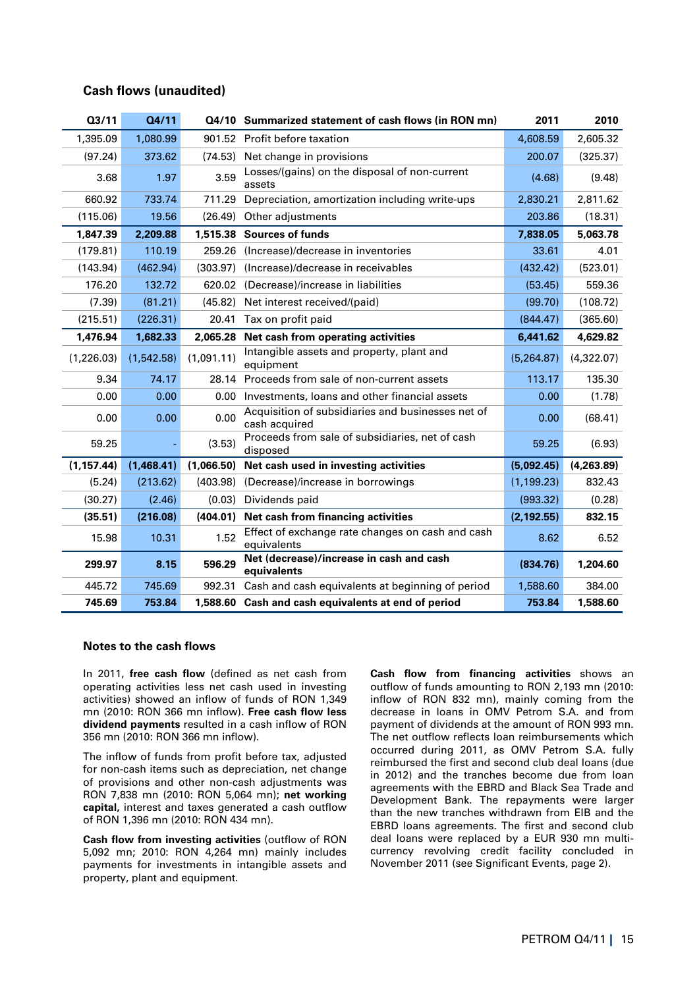## **Cash flows (unaudited)**

| Q3/11       | Q4/11      |            | Q4/10 Summarized statement of cash flows (in RON mn)               | 2011        | 2010       |
|-------------|------------|------------|--------------------------------------------------------------------|-------------|------------|
| 1,395.09    | 1,080.99   |            | 901.52 Profit before taxation                                      | 4,608.59    | 2,605.32   |
| (97.24)     | 373.62     | (74.53)    | Net change in provisions                                           | 200.07      | (325.37)   |
| 3.68        | 1.97       | 3.59       | Losses/(gains) on the disposal of non-current<br>assets            | (4.68)      | (9.48)     |
| 660.92      | 733.74     | 711.29     | Depreciation, amortization including write-ups                     | 2,830.21    | 2,811.62   |
| (115.06)    | 19.56      | (26.49)    | Other adjustments                                                  | 203.86      | (18.31)    |
| 1,847.39    | 2,209.88   | 1,515,38   | <b>Sources of funds</b>                                            | 7,838.05    | 5,063.78   |
| (179.81)    | 110.19     | 259.26     | (Increase)/decrease in inventories                                 | 33.61       | 4.01       |
| (143.94)    | (462.94)   | (303.97)   | (Increase)/decrease in receivables                                 | (432.42)    | (523.01)   |
| 176.20      | 132.72     |            | 620.02 (Decrease)/increase in liabilities                          | (53.45)     | 559.36     |
| (7.39)      | (81.21)    | (45.82)    | Net interest received/(paid)                                       | (99.70)     | (108.72)   |
| (215.51)    | (226.31)   | 20.41      | Tax on profit paid                                                 | (844.47)    | (365.60)   |
| 1,476.94    | 1,682.33   | 2,065.28   | Net cash from operating activities                                 | 6,441.62    | 4,629.82   |
| (1, 226.03) | (1,542.58) | (1,091.11) | Intangible assets and property, plant and<br>equipment             | (5,264.87)  | (4,322.07) |
| 9.34        | 74.17      | 28.14      | Proceeds from sale of non-current assets                           | 113.17      | 135.30     |
| 0.00        | 0.00       | 0.00       | Investments, loans and other financial assets                      | 0.00        | (1.78)     |
| 0.00        | 0.00       | 0.00       | Acquisition of subsidiaries and businesses net of<br>cash acquired | 0.00        | (68.41)    |
| 59.25       |            | (3.53)     | Proceeds from sale of subsidiaries, net of cash<br>disposed        | 59.25       | (6.93)     |
| (1, 157.44) | (1,468.41) | (1,066.50) | Net cash used in investing activities                              | (5,092.45)  | (4,263.89) |
| (5.24)      | (213.62)   | (403.98)   | (Decrease)/increase in borrowings                                  | (1, 199.23) | 832.43     |
| (30.27)     | (2.46)     | (0.03)     | Dividends paid                                                     | (993.32)    | (0.28)     |
| (35.51)     | (216.08)   | (404.01)   | Net cash from financing activities                                 | (2, 192.55) | 832.15     |
| 15.98       | 10.31      | 1.52       | Effect of exchange rate changes on cash and cash<br>equivalents    | 8.62        | 6.52       |
| 299.97      | 8.15       | 596.29     | Net (decrease)/increase in cash and cash<br>equivalents            | (834.76)    | 1,204.60   |
| 445.72      | 745.69     | 992.31     | Cash and cash equivalents at beginning of period                   | 1,588.60    | 384.00     |
| 745.69      | 753.84     |            | 1,588.60 Cash and cash equivalents at end of period                | 753.84      | 1,588.60   |

#### **Notes to the cash flows**

In 2011, **free cash flow** (defined as net cash from operating activities less net cash used in investing activities) showed an inflow of funds of RON 1,349 mn (2010: RON 366 mn inflow). **Free cash flow less dividend payments** resulted in a cash inflow of RON 356 mn (2010: RON 366 mn inflow).

The inflow of funds from profit before tax, adjusted for non-cash items such as depreciation, net change of provisions and other non-cash adjustments was RON 7,838 mn (2010: RON 5,064 mn); **net working capital,** interest and taxes generated a cash outflow of RON 1,396 mn (2010: RON 434 mn).

**Cash flow from investing activities** (outflow of RON 5,092 mn; 2010: RON 4,264 mn) mainly includes payments for investments in intangible assets and property, plant and equipment.

**Cash flow from financing activities** shows an outflow of funds amounting to RON 2,193 mn (2010: inflow of RON 832 mn), mainly coming from the decrease in loans in OMV Petrom S.A. and from payment of dividends at the amount of RON 993 mn. The net outflow reflects loan reimbursements which occurred during 2011, as OMV Petrom S.A. fully reimbursed the first and second club deal loans (due in 2012) and the tranches become due from loan agreements with the EBRD and Black Sea Trade and Development Bank. The repayments were larger than the new tranches withdrawn from EIB and the EBRD loans agreements. The first and second club deal loans were replaced by a EUR 930 mn multicurrency revolving credit facility concluded in November 2011 (see Significant Events, page 2).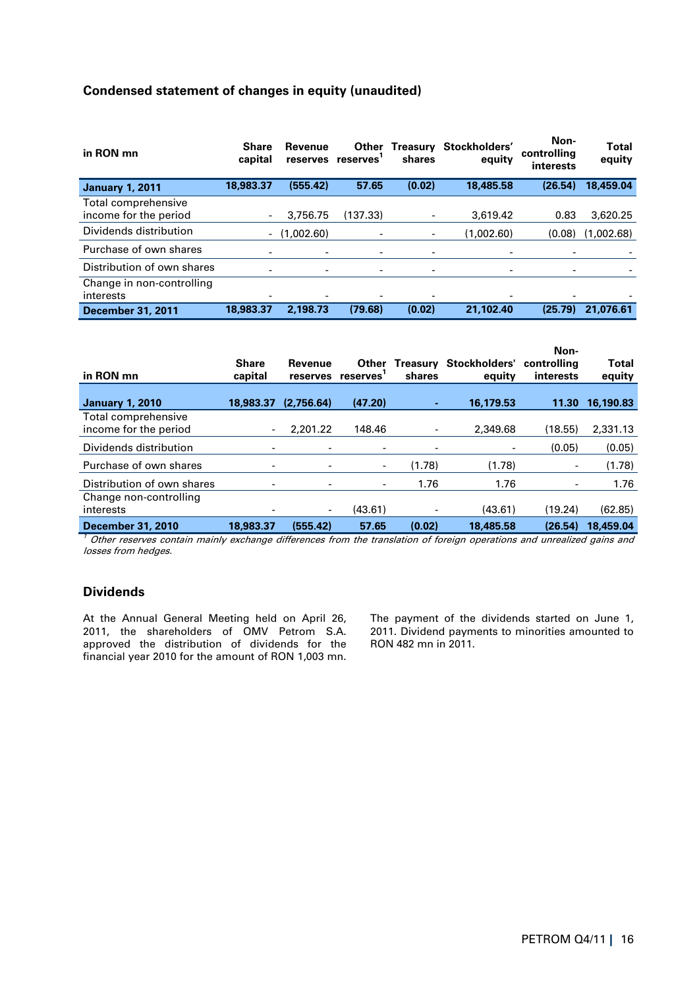# **Condensed statement of changes in equity (unaudited)**

| in RON mn                                    | <b>Share</b><br>capital | Revenue<br>reserves      | Other<br>reserves | Treasury<br>shares | Stockholders'<br>equity | Non-<br>controlling<br>interests | <b>Total</b><br>equity |
|----------------------------------------------|-------------------------|--------------------------|-------------------|--------------------|-------------------------|----------------------------------|------------------------|
| <b>January 1, 2011</b>                       | 18,983.37               | (555.42)                 | 57.65             | (0.02)             | 18,485.58               | (26.54)                          | 18,459.04              |
| Total comprehensive<br>income for the period |                         | 3.756.75                 | (137.33)          |                    | 3.619.42                | 0.83                             | 3.620.25               |
| Dividends distribution                       |                         | $-$ (1,002.60)           |                   | -                  | (1.002.60)              | (0.08)                           | (1,002.68)             |
| Purchase of own shares                       |                         | $\overline{\phantom{a}}$ |                   |                    |                         |                                  |                        |
| Distribution of own shares                   |                         |                          | -                 |                    |                         | ۰                                |                        |
| Change in non-controlling<br>interests       |                         |                          |                   |                    |                         |                                  |                        |
| <b>December 31, 2011</b>                     | 18,983.37               | 2,198.73                 | (79.68)           | (0.02)             | 21,102.40               | (25.79)                          | 21,076.61              |

| in RON mn                                    | <b>Share</b><br>capital  | Revenue<br>reserves      | Other<br>reserves <sup>1</sup> | Treasury<br>shares | Stockholders'<br>equity | Non-<br>controllina<br>interests | <b>Total</b><br>equity |
|----------------------------------------------|--------------------------|--------------------------|--------------------------------|--------------------|-------------------------|----------------------------------|------------------------|
| <b>January 1, 2010</b>                       | 18,983.37                | (2,756.64)               | (47.20)                        |                    | 16,179.53               | 11.30                            | 16,190.83              |
| Total comprehensive<br>income for the period |                          | 2.201.22                 | 148.46                         |                    | 2,349.68                | (18.55)                          | 2,331.13               |
| Dividends distribution                       |                          | $\overline{\phantom{a}}$ |                                |                    | -                       | (0.05)                           | (0.05)                 |
| Purchase of own shares                       | $\overline{\phantom{a}}$ |                          |                                | (1.78)             | (1.78)                  | $\overline{\phantom{a}}$         | (1.78)                 |
| Distribution of own shares                   | -                        | ۰                        |                                | 1.76               | 1.76                    | -                                | 1.76                   |
| Change non-controlling                       |                          |                          |                                |                    |                         |                                  |                        |
| interests                                    |                          | ۰                        | (43.61)                        |                    | (43.61)                 | (19.24)                          | (62.85)                |
| December 31, 2010                            | 18,983,37                | (555.42)                 | 57.65                          | (0.02)             | 18,485.58               | (26.54)                          | 18,459.04              |

 $1$  Other reserves contain mainly exchange differences from the translation of foreign operations and unrealized gains and losses from hedges.

# **Dividends**

At the Annual General Meeting held on April 26, 2011, the shareholders of OMV Petrom S.A. approved the distribution of dividends for the financial year 2010 for the amount of RON 1,003 mn. The payment of the dividends started on June 1, 2011. Dividend payments to minorities amounted to RON 482 mn in 2011.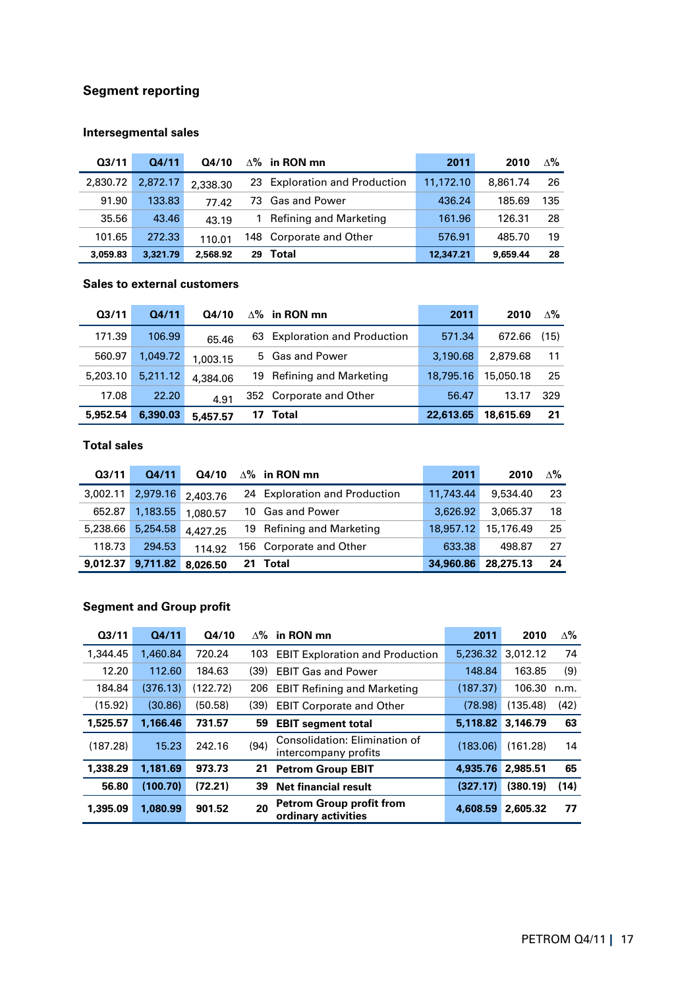# **Segment reporting**

# **Intersegmental sales**

| Q <sub>3/11</sub> | 04/11    | Q4/10    |    | $\Delta$ % in RON mn          | 2011      | 2010     | $\Delta\%$ |
|-------------------|----------|----------|----|-------------------------------|-----------|----------|------------|
| 2,830.72          | 2.872.17 | 2,338.30 |    | 23 Exploration and Production | 11.172.10 | 8.861.74 | -26        |
| 91.90             | 133.83   | 77.42    |    | 73 Gas and Power              | 436.24    | 185.69   | 135        |
| 35.56             | 43.46    | 43.19    |    | 1 Refining and Marketing      | 161.96    | 126.31   | 28         |
| 101.65            | 272.33   | 110.01   |    | 148 Corporate and Other       | 576.91    | 485.70   | 19         |
| 3,059.83          | 3,321.79 | 2.568.92 | 29 | Total                         | 12.347.21 | 9.659.44 | 28         |

# **Sales to external customers**

| Q <sub>3/11</sub> | 04/11    | Q4/10    |    | $\Delta\%$ in RON mn          | 2011      | 2010      | $\Delta\%$ |
|-------------------|----------|----------|----|-------------------------------|-----------|-----------|------------|
| 171.39            | 106.99   | 65.46    |    | 63 Exploration and Production | 571.34    | 672.66    | (15)       |
| 560.97            | 1.049.72 | 1.003.15 |    | 5 Gas and Power               | 3.190.68  | 2.879.68  | 11         |
| 5,203.10          | 5.211.12 | 4,384.06 |    | 19 Refining and Marketing     | 18,795.16 | 15,050.18 | -25        |
| 17.08             | 22.20    | 4.91     |    | 352 Corporate and Other       | 56.47     | 13.17     | 329        |
| 5,952.54          | 6,390.03 | 5,457.57 | 17 | Total                         | 22,613.65 | 18,615.69 | 21         |

# **Total sales**

| Q3/11    | Q4/11    | Q4/10    |    | $\Delta$ % in RON mn          | 2011      | 2010      | $\Delta\%$ |
|----------|----------|----------|----|-------------------------------|-----------|-----------|------------|
| 3,002.11 | 2,979.16 | 2,403.76 |    | 24 Exploration and Production | 11,743,44 | 9,534.40  | -23        |
| 652.87   | 1,183.55 | 1.080.57 |    | 10 Gas and Power              | 3.626.92  | 3,065.37  | 18         |
| 5,238.66 | 5,254.58 | 4,427.25 |    | 19 Refining and Marketing     | 18,957.12 | 15,176.49 | -25        |
| 118.73   | 294.53   | 114.92   |    | 156 Corporate and Other       | 633.38    | 498.87    | 27         |
| 9,012.37 | 9,711.82 | 8.026.50 | 21 | Total                         | 34,960.86 | 28,275.13 | 24         |

# **Segment and Group profit**

| Q <sub>3/11</sub> | Q4/11    | Q4/10    | $\Delta\%$ | in RON mn                                              | 2011     | 2010     | ∆%   |
|-------------------|----------|----------|------------|--------------------------------------------------------|----------|----------|------|
| 1,344,45          | 1,460.84 | 720.24   | 103        | <b>EBIT Exploration and Production</b>                 | 5.236.32 | 3.012.12 | 74   |
| 12.20             | 112.60   | 184.63   | (39)       | <b>EBIT Gas and Power</b>                              | 148.84   | 163.85   | (9)  |
| 184.84            | (376.13) | (122.72) | 206        | <b>EBIT Refining and Marketing</b>                     | (187.37) | 106.30   | n.m. |
| (15.92)           | (30.86)  | (50.58)  | (39)       | <b>EBIT Corporate and Other</b>                        | (78.98)  | (135.48) | (42) |
| 1,525.57          | 1.166.46 | 731.57   | 59         | <b>EBIT segment total</b>                              | 5,118.82 | 3,146.79 | 63   |
| (187.28)          | 15.23    | 242.16   | (94)       | Consolidation: Elimination of<br>intercompany profits  | (183.06) | (161.28) | 14   |
| 1,338.29          | 1.181.69 | 973.73   | 21         | <b>Petrom Group EBIT</b>                               | 4,935.76 | 2,985.51 | 65   |
| 56.80             | (100.70) | (72.21)  | 39         | <b>Net financial result</b>                            | (327.17) | (380.19) | (14) |
| 1,395.09          | 1.080.99 | 901.52   | 20         | <b>Petrom Group profit from</b><br>ordinary activities | 4,608.59 | 2,605.32 | 77   |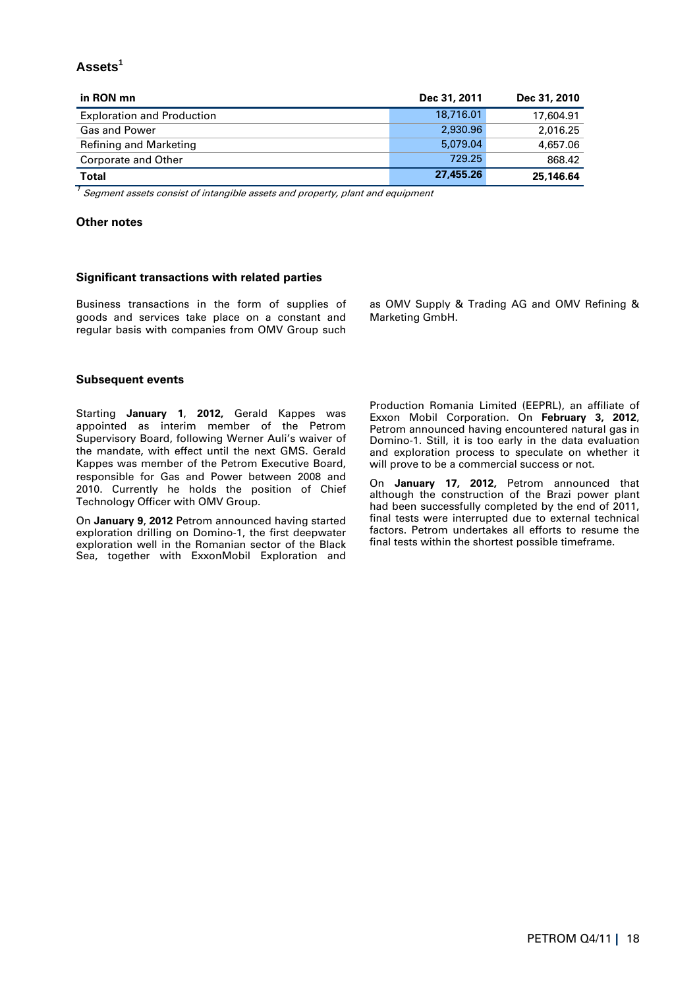# **Assets<sup>1</sup>**

| in RON mn                         | Dec 31, 2011 | Dec 31, 2010 |
|-----------------------------------|--------------|--------------|
| <b>Exploration and Production</b> | 18,716.01    | 17,604.91    |
| <b>Gas and Power</b>              | 2.930.96     | 2,016.25     |
| Refining and Marketing            | 5.079.04     | 4,657.06     |
| Corporate and Other               | 729.25       | 868.42       |
| Total                             | 27,455,26    | 25,146.64    |

 $1$  Segment assets consist of intangible assets and property, plant and equipment

### **Other notes**

#### **Significant transactions with related parties**

Business transactions in the form of supplies of goods and services take place on a constant and regular basis with companies from OMV Group such

as OMV Supply & Trading AG and OMV Refining & Marketing GmbH.

#### **Subsequent events**

Starting **January 1**, **2012,** Gerald Kappes was appointed as interim member of the Petrom Supervisory Board, following Werner Auli's waiver of the mandate, with effect until the next GMS. Gerald Kappes was member of the Petrom Executive Board, responsible for Gas and Power between 2008 and 2010. Currently he holds the position of Chief Technology Officer with OMV Group.

On **January 9**, **2012** Petrom announced having started exploration drilling on Domino-1, the first deepwater exploration well in the Romanian sector of the Black Sea, together with ExxonMobil Exploration and

Production Romania Limited (EEPRL), an affiliate of Exxon Mobil Corporation. On **February 3, 2012**, Petrom announced having encountered natural gas in Domino-1. Still, it is too early in the data evaluation and exploration process to speculate on whether it will prove to be a commercial success or not.

On **January 17, 2012,** Petrom announced that although the construction of the Brazi power plant had been successfully completed by the end of 2011, final tests were interrupted due to external technical factors. Petrom undertakes all efforts to resume the final tests within the shortest possible timeframe.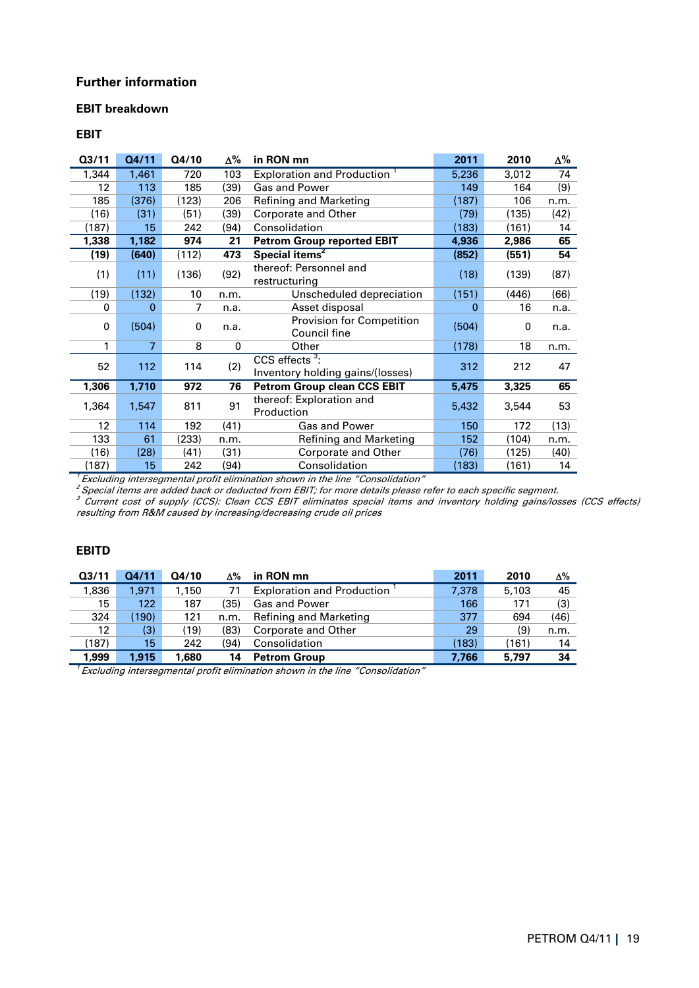# **Further information**

## **EBIT breakdown**

## **EBIT**

| Q3/11               | Q4/11 | Q4/10 | Δ%   | in RON mn                                             | 2011  | 2010  | $\Delta\%$ |
|---------------------|-------|-------|------|-------------------------------------------------------|-------|-------|------------|
| 1,344               | 1,461 | 720   | 103  | <b>Exploration and Production</b>                     | 5,236 | 3,012 | 74         |
| 12                  | 113   | 185   | (39) | Gas and Power                                         | 149   | 164   | (9)        |
| 185                 | (376) | (123) | 206  | Refining and Marketing                                | (187) | 106   | n.m.       |
| (16)                | (31)  | (51)  | (39) | Corporate and Other                                   | (79)  | (135) | (42)       |
| (187)               | 15    | 242   | (94) | Consolidation                                         | (183) | (161) | 14         |
| 1,338               | 1,182 | 974   | 21   | <b>Petrom Group reported EBIT</b>                     | 4,936 | 2,986 | 65         |
| (19)                | (640) | (112) | 473  | Special items <sup>2</sup>                            | (852) | (551) | 54         |
| (1)                 | (11)  | (136) | (92) | thereof: Personnel and<br>restructuring               | (18)  | (139) | (87)       |
| (19)                | (132) | 10    | n.m. | Unscheduled depreciation                              | (151) | (446) | (66)       |
| 0                   | 0     | 7     | n.a. | Asset disposal                                        | 0     | 16    | n.a.       |
| 0                   | (504) | 0     | n.a. | <b>Provision for Competition</b><br>Council fine      | (504) | 0     | n.a.       |
| 1                   | 7     | 8     | 0    | Other                                                 | (178) | 18    | n.m.       |
| 52                  | 112   | 114   | (2)  | CCS effects $3$ :<br>Inventory holding gains/(losses) | 312   | 212   | 47         |
| 1,306               | 1,710 | 972   | 76   | <b>Petrom Group clean CCS EBIT</b>                    | 5,475 | 3,325 | 65         |
| 1,364               | 1,547 | 811   | 91   | thereof: Exploration and<br>Production                | 5,432 | 3,544 | 53         |
| 12                  | 114   | 192   | (41) | <b>Gas and Power</b>                                  | 150   | 172   | (13)       |
| 133                 | 61    | (233) | n.m. | Refining and Marketing                                | 152   | (104) | n.m.       |
| (16)                | (28)  | (41)  | (31) | Corporate and Other                                   | (76)  | (125) | (40)       |
| (187)<br>$\tau$ $-$ | 15    | 242   | (94) | Consolidation                                         | (183) | (161) | 14         |

 $^{\prime}$  Excluding intersegmental profit elimination shown in the line "Consolidation"

 $^2$  Special items are added back or deducted from EBIT; for more details please refer to each specific segment.

 $^3$  Current cost of supply (CCS): Clean CCS EBIT eliminates special items and inventory holding gains/losses (CCS effects) resulting from R&M caused by increasing/decreasing crude oil prices

## **EBITD**

| Q <sub>3/11</sub> | Q4/11  | Q4/10 | Δ%   | in RON mn                         | 2011  | 2010  | Δ%   |
|-------------------|--------|-------|------|-----------------------------------|-------|-------|------|
| 1,836             | 1.971  | 1.150 | 71   | <b>Exploration and Production</b> | 7,378 | 5,103 | 45   |
| 15                | 122    | 187   | (35) | <b>Gas and Power</b>              | 166   | 171   | (3)  |
| 324               | (190). | 121   | n.m. | Refining and Marketing            | 377   | 694   | (46) |
| 12                | (3)    | (19)  | (83) | Corporate and Other               | 29    | (9)   | n.m. |
| (187)             | 15     | 242   | (94) | Consolidation                     | (183) | (161) | 14   |
| 1,999             | 1.915  | 1,680 | 14   | <b>Petrom Group</b>               | 7.766 | 5,797 | 34   |

 $1$  Excluding intersegmental profit elimination shown in the line "Consolidation"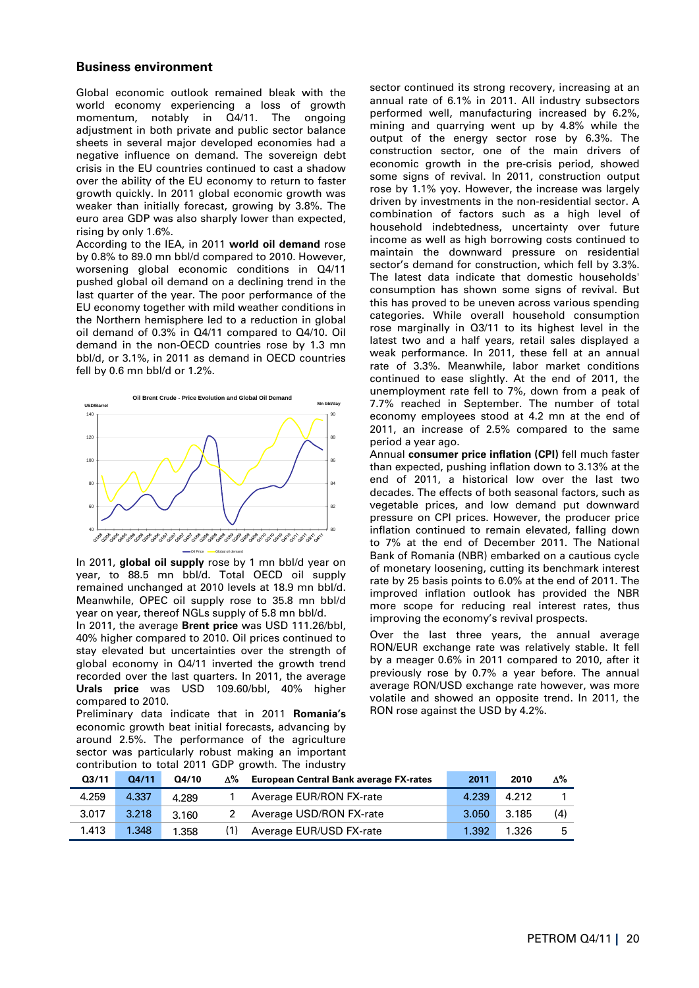#### **Business environment**

Global economic outlook remained bleak with the world economy experiencing a loss of growth momentum, notably in Q4/11. The ongoing adjustment in both private and public sector balance sheets in several major developed economies had a negative influence on demand. The sovereign debt crisis in the EU countries continued to cast a shadow over the ability of the EU economy to return to faster growth quickly. In 2011 global economic growth was weaker than initially forecast, growing by 3.8%. The euro area GDP was also sharply lower than expected, rising by only 1.6%.

According to the IEA, in 2011 **world oil demand** rose by 0.8% to 89.0 mn bbl/d compared to 2010. However, worsening global economic conditions in Q4/11 pushed global oil demand on a declining trend in the last quarter of the year. The poor performance of the EU economy together with mild weather conditions in the Northern hemisphere led to a reduction in global oil demand of 0.3% in Q4/11 compared to Q4/10. Oil demand in the non-OECD countries rose by 1.3 mn bbl/d, or 3.1%, in 2011 as demand in OECD countries fell by 0.6 mn bbl/d or 1.2%.



In 2011, **global oil supply** rose by 1 mn bbl/d year on year, to 88.5 mn bbl/d. Total OECD oil supply remained unchanged at 2010 levels at 18.9 mn bbl/d. Meanwhile, OPEC oil supply rose to 35.8 mn bbl/d year on year, thereof NGLs supply of 5.8 mn bbl/d.

In 2011, the average **Brent price** was USD 111.26/bbl, 40% higher compared to 2010. Oil prices continued to stay elevated but uncertainties over the strength of global economy in Q4/11 inverted the growth trend recorded over the last quarters. In 2011, the average **Urals price** was USD 109.60/bbl, 40% higher compared to 2010.

Preliminary data indicate that in 2011 **Romania's** economic growth beat initial forecasts, advancing by around 2.5%. The performance of the agriculture sector was particularly robust making an important contribution to total 2011 GDP growth. The industry

sector continued its strong recovery, increasing at an annual rate of 6.1% in 2011. All industry subsectors performed well, manufacturing increased by 6.2%, mining and quarrying went up by 4.8% while the output of the energy sector rose by 6.3%. The construction sector, one of the main drivers of economic growth in the pre-crisis period, showed some signs of revival. In 2011, construction output rose by 1.1% yoy. However, the increase was largely driven by investments in the non-residential sector. A combination of factors such as a high level of household indebtedness, uncertainty over future income as well as high borrowing costs continued to maintain the downward pressure on residential sector's demand for construction, which fell by 3.3%. The latest data indicate that domestic households' consumption has shown some signs of revival. But this has proved to be uneven across various spending categories. While overall household consumption rose marginally in Q3/11 to its highest level in the latest two and a half years, retail sales displayed a weak performance. In 2011, these fell at an annual rate of 3.3%. Meanwhile, labor market conditions continued to ease slightly. At the end of 2011, the unemployment rate fell to 7%, down from a peak of 7.7% reached in September. The number of total economy employees stood at 4.2 mn at the end of 2011, an increase of 2.5% compared to the same period a year ago.

Annual **consumer price inflation (CPI)** fell much faster than expected, pushing inflation down to 3.13% at the end of 2011, a historical low over the last two decades. The effects of both seasonal factors, such as vegetable prices, and low demand put downward pressure on CPI prices. However, the producer price inflation continued to remain elevated, falling down to 7% at the end of December 2011. The National Bank of Romania (NBR) embarked on a cautious cycle of monetary loosening, cutting its benchmark interest rate by 25 basis points to 6.0% at the end of 2011. The improved inflation outlook has provided the NBR more scope for reducing real interest rates, thus improving the economy's revival prospects.

Over the last three years, the annual average RON/EUR exchange rate was relatively stable. It fell by a meager 0.6% in 2011 compared to 2010, after it previously rose by 0.7% a year before. The annual average RON/USD exchange rate however, was more volatile and showed an opposite trend. In 2011, the RON rose against the USD by 4.2%.

| Q <sub>3/11</sub> | Q4/11 | Q4/10 | л% | <b>European Central Bank average FX-rates</b> | 2011  | 2010  | Δ%  |
|-------------------|-------|-------|----|-----------------------------------------------|-------|-------|-----|
| 4.259             | 4.337 | 4.289 |    | Average EUR/RON FX-rate                       | 4.239 | 4.212 |     |
| 3.017             | 3.218 | 3.160 |    | Average USD/RON FX-rate                       | 3.050 | 3.185 | (4) |
| 1.413             | 1.348 | 1.358 |    | Average EUR/USD FX-rate                       | 1.392 | 1.326 |     |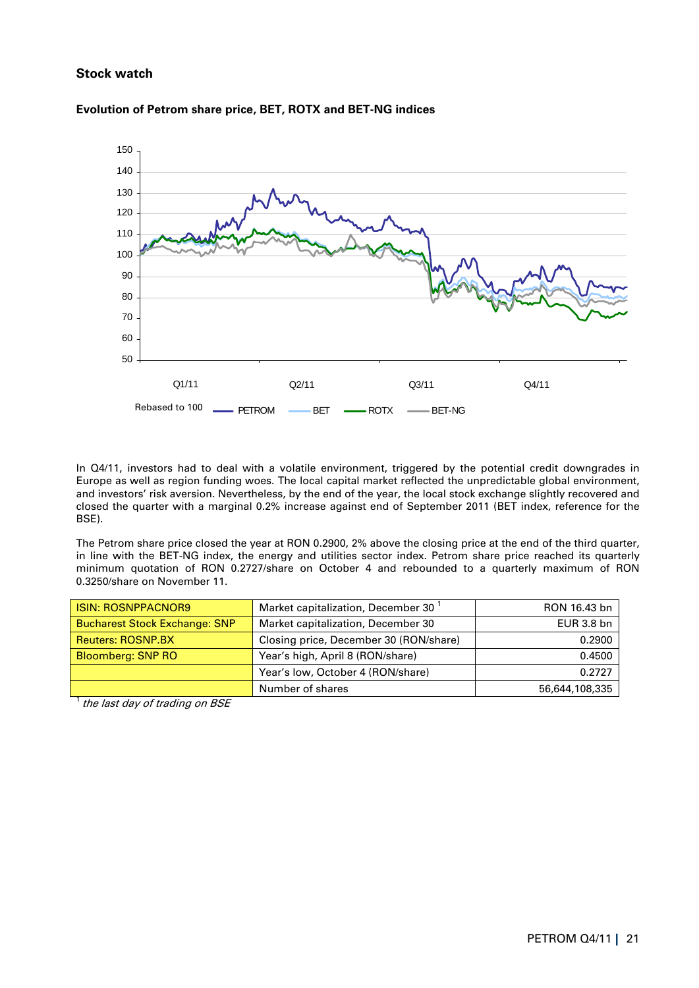# **Stock watch**



### **Evolution of Petrom share price, BET, ROTX and BET-NG indices**

In Q4/11, investors had to deal with a volatile environment, triggered by the potential credit downgrades in Europe as well as region funding woes. The local capital market reflected the unpredictable global environment, and investors' risk aversion. Nevertheless, by the end of the year, the local stock exchange slightly recovered and closed the quarter with a marginal 0.2% increase against end of September 2011 (BET index, reference for the BSE).

The Petrom share price closed the year at RON 0.2900, 2% above the closing price at the end of the third quarter, in line with the BET-NG index, the energy and utilities sector index. Petrom share price reached its quarterly minimum quotation of RON 0.2727/share on October 4 and rebounded to a quarterly maximum of RON 0.3250/share on November 11.

| <b>I ISIN: ROSNPPACNOR9</b>          | Market capitalization, December 30     | RON 16.43 bn   |
|--------------------------------------|----------------------------------------|----------------|
| <b>Bucharest Stock Exchange: SNP</b> | Market capitalization, December 30     | EUR 3.8 bn     |
| <b>Reuters: ROSNP.BX</b>             | Closing price, December 30 (RON/share) | 0.2900         |
| <b>Bloomberg: SNP RO</b>             | Year's high, April 8 (RON/share)       | 0.4500         |
|                                      | Year's low, October 4 (RON/share)      | 0.2727         |
|                                      | Number of shares                       | 56,644,108,335 |

<sup>1</sup> the last day of trading on BSE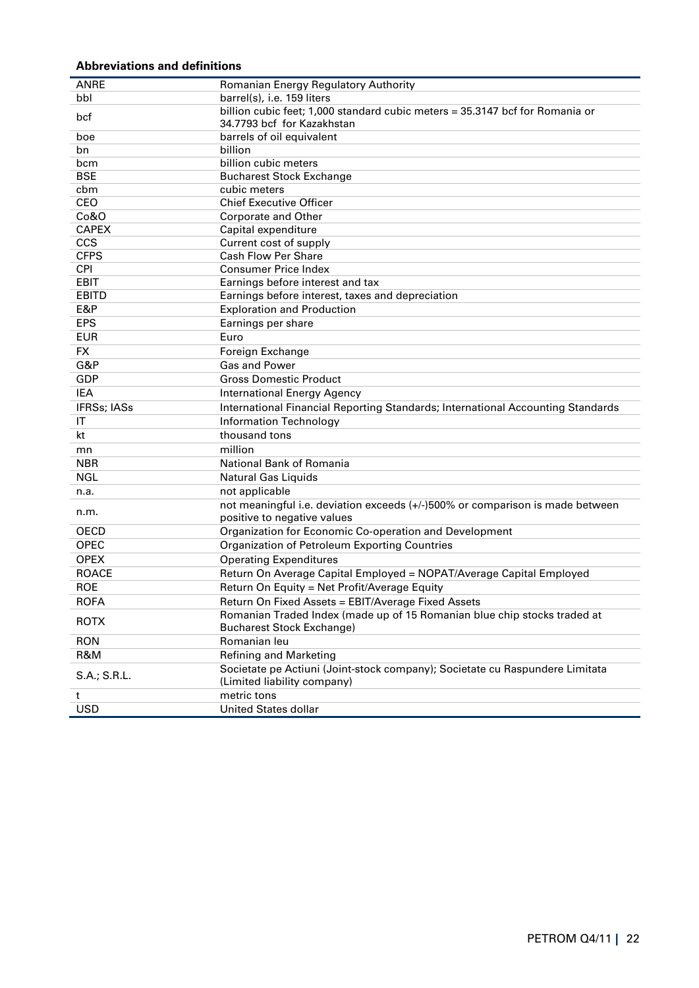# **Abbreviations and definitions**

| <b>ANRE</b>  | Romanian Energy Regulatory Authority                                            |
|--------------|---------------------------------------------------------------------------------|
| bbl          | barrel(s), i.e. 159 liters                                                      |
| bcf          | billion cubic feet; 1,000 standard cubic meters = 35.3147 bcf for Romania or    |
|              | 34.7793 bcf for Kazakhstan                                                      |
| boe          | barrels of oil equivalent                                                       |
| bn           | billion                                                                         |
| bcm          | billion cubic meters                                                            |
| <b>BSE</b>   | <b>Bucharest Stock Exchange</b>                                                 |
| cbm          | cubic meters                                                                    |
| CEO          | <b>Chief Executive Officer</b>                                                  |
| Co&O         | Corporate and Other                                                             |
| <b>CAPEX</b> | Capital expenditure                                                             |
| CCS          | Current cost of supply                                                          |
| <b>CFPS</b>  | <b>Cash Flow Per Share</b>                                                      |
| <b>CPI</b>   | <b>Consumer Price Index</b>                                                     |
| <b>EBIT</b>  | Earnings before interest and tax                                                |
| <b>EBITD</b> | Earnings before interest, taxes and depreciation                                |
| E&P          | <b>Exploration and Production</b>                                               |
| <b>EPS</b>   | Earnings per share                                                              |
| <b>EUR</b>   | Euro                                                                            |
| <b>FX</b>    | Foreign Exchange                                                                |
| G&P          | <b>Gas and Power</b>                                                            |
| <b>GDP</b>   | <b>Gross Domestic Product</b>                                                   |
| <b>IEA</b>   | <b>International Energy Agency</b>                                              |
| IFRSs; IASs  | International Financial Reporting Standards; International Accounting Standards |
| IΤ           | <b>Information Technology</b>                                                   |
| kt           | thousand tons                                                                   |
| mn           | million                                                                         |
| <b>NBR</b>   | National Bank of Romania                                                        |
| <b>NGL</b>   | <b>Natural Gas Liquids</b>                                                      |
| n.a.         | not applicable                                                                  |
|              | not meaningful i.e. deviation exceeds (+/-)500% or comparison is made between   |
| n.m.         | positive to negative values                                                     |
| OECD         | Organization for Economic Co-operation and Development                          |
| OPEC         | Organization of Petroleum Exporting Countries                                   |
| <b>OPEX</b>  | <b>Operating Expenditures</b>                                                   |
| <b>ROACE</b> | Return On Average Capital Employed = NOPAT/Average Capital Employed             |
| <b>ROE</b>   | Return On Equity = Net Profit/Average Equity                                    |
| <b>ROFA</b>  | Return On Fixed Assets = EBIT/Average Fixed Assets                              |
|              | Romanian Traded Index (made up of 15 Romanian blue chip stocks traded at        |
| <b>ROTX</b>  | <b>Bucharest Stock Exchange)</b>                                                |
| <b>RON</b>   | Romanian leu                                                                    |
| R&M          | Refining and Marketing                                                          |
|              | Societate pe Actiuni (Joint-stock company); Societate cu Raspundere Limitata    |
| S.A.; S.R.L. | (Limited liability company)                                                     |
| t            | metric tons                                                                     |
| <b>USD</b>   | <b>United States dollar</b>                                                     |